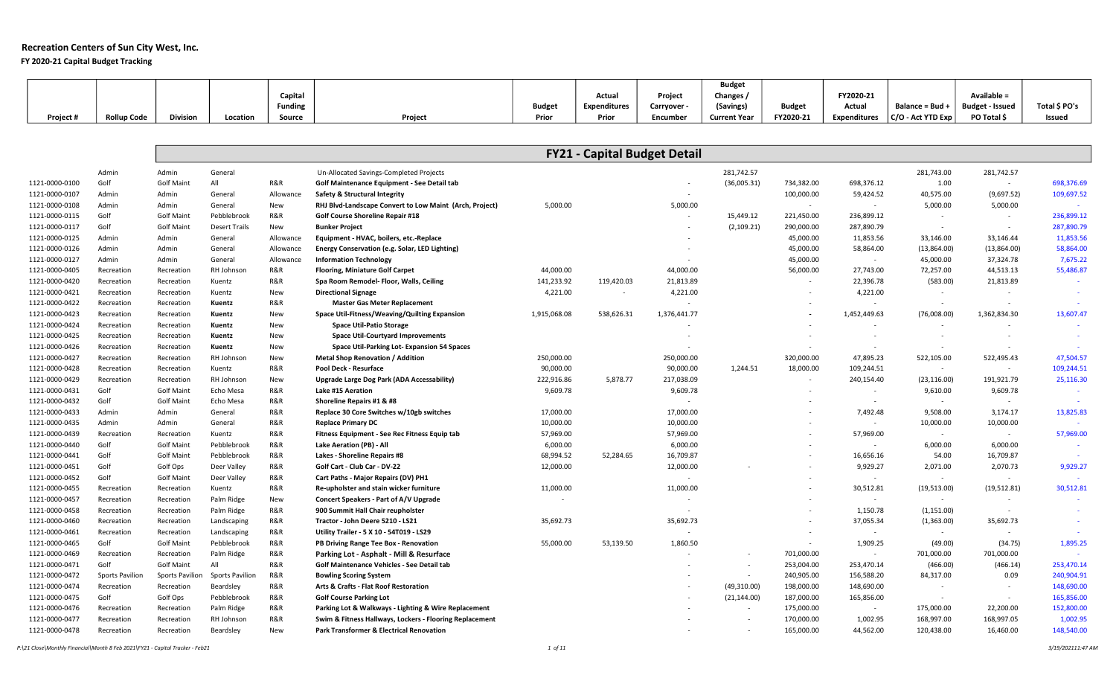## Recreation Centers of Sun City West, Inc. FY 2020-21 Capital Budget Tracking

|           |                    |                 |          |                |         |        |              |           | <b>Budget</b>       |               |                     |                      |                        |               |
|-----------|--------------------|-----------------|----------|----------------|---------|--------|--------------|-----------|---------------------|---------------|---------------------|----------------------|------------------------|---------------|
|           |                    |                 |          | Capital        |         |        | Actua        | Projec.   | Changes,            |               | FY2020-21           |                      | Available =            |               |
|           |                    |                 |          | <b>Funding</b> |         | Budget | Expenditures | Carryover | (Savings)           | <b>Budget</b> | Actual              | Balance = Bud +      | <b>Budget - Issued</b> | Total \$ PO's |
| Project # | <b>Rollup Code</b> | <b>Division</b> | Location | Source         | Project | Prior  | Prior        | Encumber  | <b>Current Year</b> | FY2020-21     | <b>Expenditures</b> | $ C/O - Act YTD Exp$ | PO Total \$            | Issued        |

|                |                 |                   |                        |            |                                                         |              | <b>FY21 - Capital Budget Detail</b> |                          |              |            |                          |                          |              |            |
|----------------|-----------------|-------------------|------------------------|------------|---------------------------------------------------------|--------------|-------------------------------------|--------------------------|--------------|------------|--------------------------|--------------------------|--------------|------------|
|                | Admin           | Admin             | General                |            | Un-Allocated Savings-Completed Projects                 |              |                                     |                          | 281,742.57   |            |                          | 281,743.00               | 281,742.57   |            |
| 1121-0000-0100 | Golf            | <b>Golf Maint</b> | All                    | R&R        | Golf Maintenance Equipment - See Detail tab             |              |                                     | $\sim$                   | (36,005.31)  | 734,382.00 | 698,376.12               | 1.00                     | $\sim$       | 698,376.69 |
| 1121-0000-0107 | Admin           | Admin             | General                | Allowance  | <b>Safety &amp; Structural Integrity</b>                |              |                                     |                          |              | 100,000.00 | 59,424.52                | 40,575.00                | (9,697.52)   | 109,697.52 |
| 1121-0000-0108 | Admin           | Admin             | General                | New        | RHJ Blvd-Landscape Convert to Low Maint (Arch, Project) | 5,000.00     |                                     | 5,000.00                 |              | $\sim$     | $\sim$                   | 5,000.00                 | 5,000.00     |            |
| 1121-0000-0115 | Golf            | <b>Golf Maint</b> | Pebblebrook            | R&R        | Golf Course Shoreline Repair #18                        |              |                                     | $\overline{\phantom{a}}$ | 15,449.12    | 221,450.00 | 236,899.12               | $\sim$                   | $\sim$       | 236,899.12 |
| 1121-0000-0117 | Golf            | <b>Golf Maint</b> | <b>Desert Trails</b>   | New        | <b>Bunker Project</b>                                   |              |                                     |                          | (2, 109.21)  | 290,000.00 | 287,890.79               | $\sim$                   |              | 287,890.79 |
| 1121-0000-0125 | Admin           | Admin             | General                | Allowance  | Equipment - HVAC, boilers, etc.-Replace                 |              |                                     |                          |              | 45,000.00  | 11,853.56                | 33,146.00                | 33,146.44    | 11,853.56  |
| 1121-0000-0126 | Admin           | Admin             | General                | Allowance  | Energy Conservation (e.g. Solar, LED Lighting)          |              |                                     |                          |              | 45,000.00  | 58,864.00                | (13,864.00)              | (13,864.00)  | 58,864.00  |
| 1121-0000-0127 | Admin           | Admin             | General                | Allowance  | <b>Information Technology</b>                           |              |                                     |                          |              | 45,000.00  | $\sim$                   | 45,000.00                | 37,324.78    | 7,675.22   |
| 1121-0000-0405 | Recreation      | Recreation        | RH Johnson             | R&R        | <b>Flooring, Miniature Golf Carpet</b>                  | 44,000.00    |                                     | 44,000.00                |              | 56,000.00  | 27,743.00                | 72,257.00                | 44,513.13    | 55,486.87  |
| 1121-0000-0420 | Recreation      | Recreation        | Kuentz                 | R&R        | Spa Room Remodel- Floor, Walls, Ceiling                 | 141,233.92   | 119,420.03                          | 21,813.89                |              |            | 22,396.78                | (583.00)                 | 21,813.89    |            |
| 1121-0000-0421 | Recreation      | Recreation        | Kuentz                 | New        | <b>Directional Signage</b>                              | 4,221.00     |                                     | 4,221.00                 |              |            | 4,221.00                 | $\overline{\phantom{a}}$ | $\sim$       |            |
| 1121-0000-0422 | Recreation      | Recreation        | Kuentz                 | R&R        | <b>Master Gas Meter Replacement</b>                     |              |                                     |                          |              |            | $\sim$                   | $\sim$                   |              |            |
| 1121-0000-0423 | Recreation      | Recreation        | Kuentz                 | New        | Space Util-Fitness/Weaving/Quilting Expansion           | 1,915,068.08 | 538,626.31                          | 1,376,441.77             |              |            | 1,452,449.63             | (76,008.00)              | 1,362,834.30 | 13,607.47  |
| 1121-0000-0424 | Recreation      | Recreation        | Kuentz                 | New        | <b>Space Util-Patio Storage</b>                         |              |                                     |                          |              |            | $\overline{\phantom{a}}$ |                          |              |            |
| 1121-0000-0425 | Recreation      | Recreation        | Kuentz                 | New        | <b>Space Util-Courtyard Improvements</b>                |              |                                     |                          |              |            | $\sim$                   | $\overline{\phantom{a}}$ | $\sim$       |            |
| 1121-0000-0426 | Recreation      | Recreation        | Kuentz                 | New        | Space Util-Parking Lot-Expansion 54 Spaces              |              |                                     |                          |              |            | $\sim$                   | $\overline{\phantom{a}}$ |              |            |
| 1121-0000-0427 | Recreation      | Recreation        | RH Johnson             | New        | <b>Metal Shop Renovation / Addition</b>                 | 250,000.00   |                                     | 250,000.00               |              | 320,000.00 | 47,895.23                | 522,105.00               | 522,495.43   | 47,504.57  |
| 1121-0000-0428 | Recreation      | Recreation        | Kuentz                 | R&R        | Pool Deck - Resurface                                   | 90,000.00    |                                     | 90,000.00                | 1,244.51     | 18,000.00  | 109,244.51               | $\sim$                   | $\sim$       | 109,244.51 |
| 1121-0000-0429 | Recreation      | Recreation        | RH Johnson             | New        | Upgrade Large Dog Park (ADA Accessability)              | 222,916.86   | 5,878.77                            | 217,038.09               |              |            | 240,154.40               | (23, 116.00)             | 191,921.79   | 25,116.30  |
| 1121-0000-0431 | Golf            | <b>Golf Maint</b> | Echo Mesa              | R&R        | Lake #15 Aeration                                       | 9,609.78     |                                     | 9,609.78                 |              |            | $\sim$                   | 9,610.00                 | 9,609.78     | $\sim$     |
| 1121-0000-0432 | Golf            | <b>Golf Maint</b> | Echo Mesa              | R&R        | Shoreline Repairs #1 & #8                               |              |                                     |                          |              |            | $\sim$                   | $\sim$                   | $\sim$       |            |
| 1121-0000-0433 | Admin           | Admin             | General                | R&R        | Replace 30 Core Switches w/10gb switches                | 17,000.00    |                                     | 17,000.00                |              |            | 7,492.48                 | 9,508.00                 | 3,174.17     | 13,825.83  |
| 1121-0000-0435 | Admin           | Admin             | General                | R&R        | <b>Replace Primary DC</b>                               | 10,000.00    |                                     | 10,000.00                |              |            | $\sim$                   | 10,000.00                | 10,000.00    |            |
| 1121-0000-0439 | Recreation      | Recreation        | Kuentz                 | R&R        | Fitness Equipment - See Rec Fitness Equip tab           | 57,969.00    |                                     | 57,969.00                |              |            | 57,969.00                | $\sim$                   |              | 57,969.00  |
| 1121-0000-0440 | Golf            | <b>Golf Maint</b> | Pebblebrook            | R&R        | Lake Aeration (PB) - All                                | 6,000.00     |                                     | 6,000.00                 |              |            | $\sim$                   | 6,000.00                 | 6,000.00     |            |
| 1121-0000-0441 | Golf            | <b>Golf Maint</b> | Pebblebrook            | R&R        | Lakes - Shoreline Repairs #8                            | 68,994.52    | 52,284.65                           | 16,709.87                |              |            | 16,656.16                | 54.00                    | 16,709.87    |            |
| 1121-0000-0451 | Golf            | Golf Ops          | Deer Valley            | R&R        | Golf Cart - Club Car - DV-22                            | 12,000.00    |                                     | 12,000.00                |              |            | 9,929.27                 | 2,071.00                 | 2,070.73     | 9,929.27   |
| 1121-0000-0452 | Golf            | <b>Golf Maint</b> | Deer Valley            | R&R        | Cart Paths - Major Repairs (DV) PH1                     |              |                                     | $\sim$                   |              |            | $\sim$                   | $\sim$                   | $\sim$       |            |
| 1121-0000-0455 | Recreation      | Recreation        | Kuentz                 | R&R        | Re-upholster and stain wicker furniture                 | 11,000.00    |                                     | 11,000.00                |              |            | 30,512.81                | (19,513.00)              | (19,512.81)  | 30,512.81  |
| 1121-0000-0457 | Recreation      | Recreation        | Palm Ridge             | New        | Concert Speakers - Part of A/V Upgrade                  |              |                                     |                          |              |            | $\sim$                   | $\sim$                   |              | $\sim$     |
| 1121-0000-0458 | Recreation      | Recreation        | Palm Ridge             | R&R        | 900 Summit Hall Chair reupholster                       |              |                                     |                          |              |            | 1,150.78                 | (1, 151.00)              |              |            |
| 1121-0000-0460 | Recreation      | Recreation        | Landscaping            | R&R        | Tractor - John Deere 5210 - LS21                        | 35,692.73    |                                     | 35,692.73                |              |            | 37,055.34                | (1,363.00)               | 35,692.73    |            |
| 1121-0000-0461 | Recreation      | Recreation        | Landscaping            | R&R        | Utility Trailer - 5 X 10 - 54T019 - LS29                |              |                                     | $\sim$                   |              |            | $\sim$                   | $\sim$                   |              |            |
| 1121-0000-0465 | Golf            | <b>Golf Maint</b> | Pebblebrook            | R&R        | PB Driving Range Tee Box - Renovation                   | 55,000.00    | 53,139.50                           | 1,860.50                 |              |            | 1,909.25                 | (49.00)                  | (34.75)      | 1,895.25   |
| 1121-0000-0469 | Recreation      | Recreation        | Palm Ridge             | R&R        | Parking Lot - Asphalt - Mill & Resurface                |              |                                     |                          |              | 701,000.00 | $\sim$                   | 701,000.00               | 701,000.00   |            |
| 1121-0000-0471 | Golf            | <b>Golf Maint</b> | All                    | R&R        | <b>Golf Maintenance Vehicles - See Detail tab</b>       |              |                                     |                          |              | 253,004.00 | 253,470.14               | (466.00)                 | (466.14)     | 253,470.14 |
| 1121-0000-0472 | Sports Pavilion | Sports Pavilion   | <b>Sports Pavilion</b> | R&R        | <b>Bowling Scoring System</b>                           |              |                                     |                          | $\sim$       | 240,905.00 | 156,588.20               | 84,317.00                | 0.09         | 240,904.91 |
| 1121-0000-0474 | Recreation      | Recreation        | Beardsley              | R&R        | Arts & Crafts - Flat Roof Restoration                   |              |                                     |                          | (49,310.00)  | 198,000.00 | 148,690.00               |                          |              | 148,690.00 |
| 1121-0000-0475 | Golf            | Golf Ops          | Pebblebrook            | R&R        | <b>Golf Course Parking Lot</b>                          |              |                                     |                          | (21, 144.00) | 187,000.00 | 165,856.00               | $\sim$                   | $\sim$       | 165,856.00 |
| 1121-0000-0476 | Recreation      | Recreation        | Palm Ridge             | R&R        | Parking Lot & Walkways - Lighting & Wire Replacement    |              |                                     |                          | $\sim$       | 175,000.00 | $\sim$                   | 175,000.00               | 22,200.00    | 152,800.00 |
| 1121-0000-0477 | Recreation      | Recreation        | RH Johnson             | R&R        | Swim & Fitness Hallways, Lockers - Flooring Replacement |              |                                     |                          |              | 170,000.00 | 1,002.95                 | 168,997.00               | 168,997.05   | 1,002.95   |
| 1121-0000-0478 | Recreation      | Recreation        | Beardsley              | <b>New</b> | <b>Park Transformer &amp; Electrical Renovation</b>     |              |                                     |                          |              | 165,000.00 | 44,562.00                | 120,438.00               | 16,460.00    | 148.540.00 |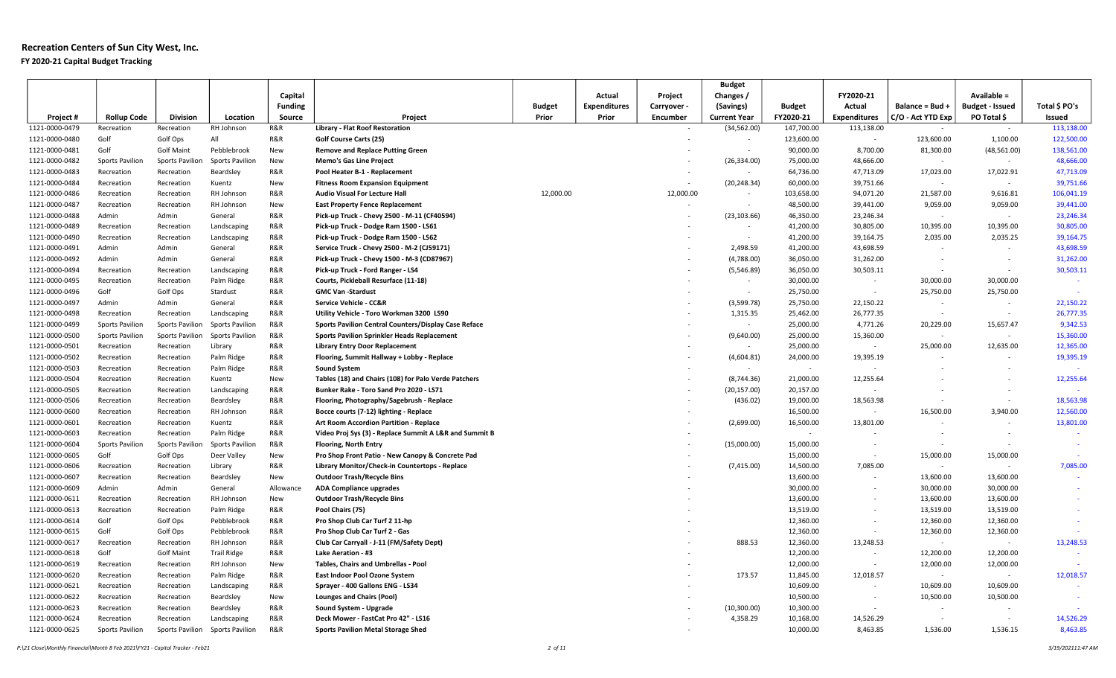## Recreation Centers of Sun City West, Inc. FY 2020-21 Capital Budget Tracking

|                |                        |                        |                        |                |                                                        |               |                     |             | <b>Budget</b>            |               |                          |                          |                          |               |
|----------------|------------------------|------------------------|------------------------|----------------|--------------------------------------------------------|---------------|---------------------|-------------|--------------------------|---------------|--------------------------|--------------------------|--------------------------|---------------|
|                |                        |                        |                        | Capital        |                                                        |               | Actual              | Project     | Changes /                |               | FY2020-21                |                          | Available =              |               |
|                |                        |                        |                        | <b>Funding</b> |                                                        | <b>Budget</b> | <b>Expenditures</b> | Carryover - | (Savings)                | <b>Budget</b> | Actual                   | Balance = Bud +          | <b>Budget - Issued</b>   | Total \$ PO's |
| Project #      | <b>Rollup Code</b>     | <b>Division</b>        | Location               | Source         | Project                                                | Prior         | Prior               | Encumber    | <b>Current Year</b>      | FY2020-21     | <b>Expenditures</b>      | C/O - Act YTD Exp        | PO Total \$              | Issued        |
| 1121-0000-0479 | Recreation             | Recreation             | RH Johnson             | R&R            | <b>Library - Flat Roof Restoration</b>                 |               |                     |             | (34, 562.00)             | 147,700.00    | 113,138.00               | $\sim$                   | $\sim$                   | 113,138.00    |
| 1121-0000-0480 | Golf                   | Golf Ops               | All                    | R&R            | <b>Golf Course Carts (25)</b>                          |               |                     |             |                          | 123,600.00    | $\sim$                   | 123,600.00               | 1,100.00                 | 122,500.00    |
| 1121-0000-0481 | Golf                   | <b>Golf Maint</b>      | Pebblebrook            | New            | <b>Remove and Replace Putting Green</b>                |               |                     |             | $\sim$                   | 90,000.00     | 8,700.00                 | 81,300.00                | (48, 561.00)             | 138,561.00    |
| 1121-0000-0482 | Sports Pavilion        | Sports Pavilio         | <b>Sports Pavilion</b> | New            | <b>Memo's Gas Line Project</b>                         |               |                     |             | (26, 334.00)             | 75,000.00     | 48,666.00                | $\sim$                   | $\sim$                   | 48,666.00     |
| 1121-0000-0483 | Recreation             | Recreation             | Beardsley              | R&R            | Pool Heater B-1 - Replacement                          |               |                     |             | $\sim$                   | 64,736.00     | 47,713.09                | 17,023.00                | 17,022.91                | 47,713.09     |
| 1121-0000-0484 | Recreation             | Recreation             | Kuentz                 | New            | <b>Fitness Room Expansion Equipment</b>                |               |                     |             | (20, 248.34)             | 60,000.00     | 39,751.66                | $\overline{\phantom{a}}$ | $\sim$                   | 39,751.66     |
| 1121-0000-0486 | Recreation             | Recreation             | RH Johnson             | R&R            | Audio Visual For Lecture Hall                          | 12,000.00     |                     | 12,000.00   | $\sim$                   | 103,658.00    | 94,071.20                | 21,587.00                | 9,616.81                 | 106,041.19    |
| 1121-0000-0487 | Recreation             | Recreation             | RH Johnson             | New            | <b>East Property Fence Replacement</b>                 |               |                     |             | $\sim$                   | 48,500.00     | 39,441.00                | 9,059.00                 | 9,059.00                 | 39,441.00     |
| 1121-0000-0488 | Admin                  | Admin                  | General                | R&R            | Pick-up Truck - Chevy 2500 - M-11 (CF40594)            |               |                     |             | (23, 103.66)             | 46,350.00     | 23,246.34                | $\sim$                   | $\sim$                   | 23,246.34     |
| 1121-0000-0489 | Recreation             | Recreation             | Landscaping            | R&R            | Pick-up Truck - Dodge Ram 1500 - LS61                  |               |                     |             | $\overline{\phantom{a}}$ | 41,200.00     | 30,805.00                | 10,395.00                | 10,395.00                | 30,805.00     |
| 1121-0000-0490 | Recreation             | Recreation             | Landscaping            | R&R            | Pick-up Truck - Dodge Ram 1500 - LS62                  |               |                     |             | $\sim$                   | 41,200.00     | 39,164.75                | 2,035.00                 | 2,035.25                 | 39,164.75     |
| 1121-0000-0491 | Admin                  | Admin                  | General                | R&R            | Service Truck - Chevy 2500 - M-2 (CJ59171)             |               |                     |             | 2,498.59                 | 41,200.00     | 43,698.59                | $\sim$                   | $\sim$                   | 43,698.59     |
| 1121-0000-0492 | Admin                  | Admin                  | General                | R&R            | Pick-up Truck - Chevy 1500 - M-3 (CD87967)             |               |                     |             | (4,788.00)               | 36,050.00     | 31,262.00                | $\sim$                   | $\sim$                   | 31,262.00     |
| 1121-0000-0494 | Recreation             | Recreation             | Landscaping            | R&R            | Pick-up Truck - Ford Ranger - LS4                      |               |                     |             | (5,546.89)               | 36,050.00     | 30,503.11                | $\sim$                   | $\sim$                   | 30,503.11     |
| 1121-0000-0495 | Recreation             | Recreation             | Palm Ridge             | R&R            | Courts, Pickleball Resurface (11-18)                   |               |                     |             | $\sim$                   | 30,000.00     | $\sim$                   | 30,000.00                | 30,000.00                |               |
| 1121-0000-0496 | Golf                   | Golf Ops               | Stardust               | R&R            | <b>GMC Van -Stardust</b>                               |               |                     |             | $\sim$                   | 25,750.00     | $\sim$                   | 25,750.00                | 25,750.00                | $\sim$        |
| 1121-0000-0497 | Admin                  | Admin                  | General                | R&R            | Service Vehicle - CC&R                                 |               |                     |             | (3,599.78)               | 25,750.00     | 22,150.22                | $\overline{\phantom{a}}$ | $\overline{\phantom{a}}$ | 22,150.22     |
| 1121-0000-0498 | Recreation             | Recreation             | Landscaping            | R&R            | Utility Vehicle - Toro Workman 3200 LS90               |               |                     |             | 1,315.35                 | 25,462.00     | 26,777.35                | $\sim$                   | $\sim$                   | 26,777.35     |
| 1121-0000-0499 | <b>Sports Pavilion</b> | <b>Sports Pavilion</b> | <b>Sports Pavilion</b> | R&R            | Sports Pavilion Central Counters/Display Case Reface   |               |                     |             | $\sim$                   | 25,000.00     | 4,771.26                 | 20,229.00                | 15,657.47                | 9,342.53      |
| 1121-0000-0500 | <b>Sports Pavilion</b> | Sports Pavilior        | <b>Sports Pavilion</b> | R&R            | <b>Sports Pavilion Sprinkler Heads Replacement</b>     |               |                     |             | (9,640.00)               | 25,000.00     | 15,360.00                | $\sim$                   | $\sim$                   | 15,360.00     |
| 1121-0000-0501 | Recreation             | Recreation             | Library                | R&R            | <b>Library Entry Door Replacement</b>                  |               |                     |             |                          | 25,000.00     | $\sim$                   | 25,000.00                | 12,635.00                | 12,365.00     |
| 1121-0000-0502 | Recreation             | Recreation             | Palm Ridge             | R&R            | Flooring, Summit Hallway + Lobby - Replace             |               |                     |             | (4,604.81)               | 24,000.00     | 19,395.19                | $\overline{\phantom{a}}$ | $\sim$                   | 19,395.19     |
| 1121-0000-0503 | Recreation             | Recreation             | Palm Ridge             | R&R            | <b>Sound System</b>                                    |               |                     |             | $\sim$                   | $\sim$        | $\sim$                   |                          |                          |               |
| 1121-0000-0504 | Recreation             | Recreation             | Kuentz                 | New            | Tables (18) and Chairs (108) for Palo Verde Patchers   |               |                     |             | (8,744.36)               | 21,000.00     | 12,255.64                |                          | $\sim$                   | 12,255.64     |
| 1121-0000-0505 | Recreation             | Recreation             | Landscaping            | R&R            | Bunker Rake - Toro Sand Pro 2020 - LS71                |               |                     |             | (20, 157.00)             | 20,157.00     |                          |                          | $\sim$                   |               |
| 1121-0000-0506 | Recreation             | Recreation             | Beardsley              | R&R            | Flooring, Photography/Sagebrush - Replace              |               |                     |             | (436.02)                 | 19,000.00     | 18,563.98                | $\sim$                   | $\sim$                   | 18,563.98     |
| 1121-0000-0600 | Recreation             | Recreation             | RH Johnson             | R&R            | Bocce courts (7-12) lighting - Replace                 |               |                     |             |                          | 16,500.00     | $\sim$                   | 16,500.00                | 3,940.00                 | 12,560.00     |
| 1121-0000-0601 | Recreation             | Recreation             | Kuentz                 | R&R            | Art Room Accordion Partition - Replace                 |               |                     |             | (2,699.00)               | 16,500.00     | 13,801.00                | $\sim$                   | $\sim$                   | 13,801.00     |
| 1121-0000-0603 | Recreation             | Recreation             | Palm Ridge             | R&R            | Video Proj Sys (3) - Replace Summit A L&R and Summit B |               |                     |             |                          | $\sim$        |                          | $\sim$                   | $\sim$                   | $\sim$        |
| 1121-0000-0604 | Sports Pavilion        | <b>Sports Pavilion</b> | <b>Sports Pavilion</b> | R&R            | <b>Flooring, North Entry</b>                           |               |                     |             | (15,000.00)              | 15,000.00     |                          | $\sim$                   |                          | $\sim$        |
| 1121-0000-0605 | Golf                   | Golf Ops               | Deer Valley            | New            | Pro Shop Front Patio - New Canopy & Concrete Pad       |               |                     |             |                          | 15,000.00     | $\sim$                   | 15,000.00                | 15,000.00                | $\sim$        |
| 1121-0000-0606 | Recreation             | Recreation             | Library                | R&R            | Library Monitor/Check-in Countertops - Replace         |               |                     |             | (7, 415.00)              | 14,500.00     | 7,085.00                 | $\sim$                   | $\sim$                   | 7,085.00      |
| 1121-0000-0607 | Recreation             | Recreation             | Beardsley              | New            | <b>Outdoor Trash/Recycle Bins</b>                      |               |                     |             |                          | 13,600.00     |                          | 13,600.00                | 13,600.00                |               |
| 1121-0000-0609 | Admin                  | Admin                  | General                | Allowance      | <b>ADA Compliance upgrades</b>                         |               |                     |             |                          | 30,000.00     |                          | 30,000.00                | 30,000.00                | $\sim$        |
| 1121-0000-0611 | Recreation             | Recreation             | RH Johnson             | New            | <b>Outdoor Trash/Recycle Bins</b>                      |               |                     |             |                          | 13,600.00     |                          | 13,600.00                | 13,600.00                | $\sim$        |
| 1121-0000-0613 | Recreation             | Recreation             | Palm Ridge             | R&R            | Pool Chairs (75)                                       |               |                     |             |                          | 13,519.00     |                          | 13,519.00                | 13,519.00                | $\sim$        |
| 1121-0000-0614 | Golf                   | Golf Ops               | Pebblebrook            | R&R            | Pro Shop Club Car Turf 2 11-hp                         |               |                     |             |                          | 12,360.00     | $\overline{\phantom{a}}$ | 12,360.00                | 12,360.00                | $\sim$        |
| 1121-0000-0615 | Golf                   | Golf Ops               | Pebblebrook            | R&R            | Pro Shop Club Car Turf 2 - Gas                         |               |                     |             |                          | 12,360.00     | $\overline{\phantom{a}}$ | 12,360.00                | 12,360.00                |               |
| 1121-0000-0617 | Recreation             | Recreation             | RH Johnson             | R&R            | Club Car Carryall - J-11 (FM/Safety Dept)              |               |                     |             | 888.53                   | 12,360.00     | 13,248.53                | $\sim$                   | $\sim$                   | 13,248.53     |
| 1121-0000-0618 | Golf                   | <b>Golf Maint</b>      | <b>Trail Ridge</b>     | R&R            | Lake Aeration - #3                                     |               |                     |             |                          | 12,200.00     | $\sim$                   | 12,200.00                | 12,200.00                | $\sim$ $-$    |
| 1121-0000-0619 | Recreation             | Recreation             | RH Johnson             | New            | Tables, Chairs and Umbrellas - Pool                    |               |                     |             |                          | 12,000.00     | $\sim$                   | 12,000.00                | 12,000.00                |               |
| 1121-0000-0620 | Recreation             | Recreation             | Palm Ridge             | R&R            | East Indoor Pool Ozone System                          |               |                     |             | 173.57                   | 11,845.00     | 12,018.57                | $\sim$                   | $\sim$                   | 12,018.57     |
| 1121-0000-0621 | Recreation             | Recreation             | Landscaping            | R&R            | Sprayer - 400 Gallons ENG - LS34                       |               |                     |             |                          | 10,609.00     |                          | 10,609.00                | 10,609.00                | $\sim$        |
| 1121-0000-0622 | Recreation             | Recreation             | Beardsley              | New            | Lounges and Chairs (Pool)                              |               |                     |             |                          | 10,500.00     | $\sim$                   | 10,500.00                | 10,500.00                | $\sim$        |
| 1121-0000-0623 | Recreation             | Recreation             | Beardsley              | R&R            | Sound System - Upgrade                                 |               |                     |             | (10, 300.00)             | 10,300.00     |                          | $\sim$                   |                          |               |
| 1121-0000-0624 | Recreation             | Recreation             | Landscaping            | R&R            | Deck Mower - FastCat Pro 42" - LS16                    |               |                     |             | 4,358.29                 | 10,168.00     | 14,526.29                | $\sim$                   | $\sim$                   | 14,526.29     |
| 1121-0000-0625 | Sports Pavilion        | Sports Pavilion        | <b>Sports Pavilion</b> | <b>R&amp;R</b> | <b>Sports Pavilion Metal Storage Shed</b>              |               |                     |             |                          | 10,000.00     | 8,463.85                 | 1,536.00                 | 1,536.15                 | 8,463.85      |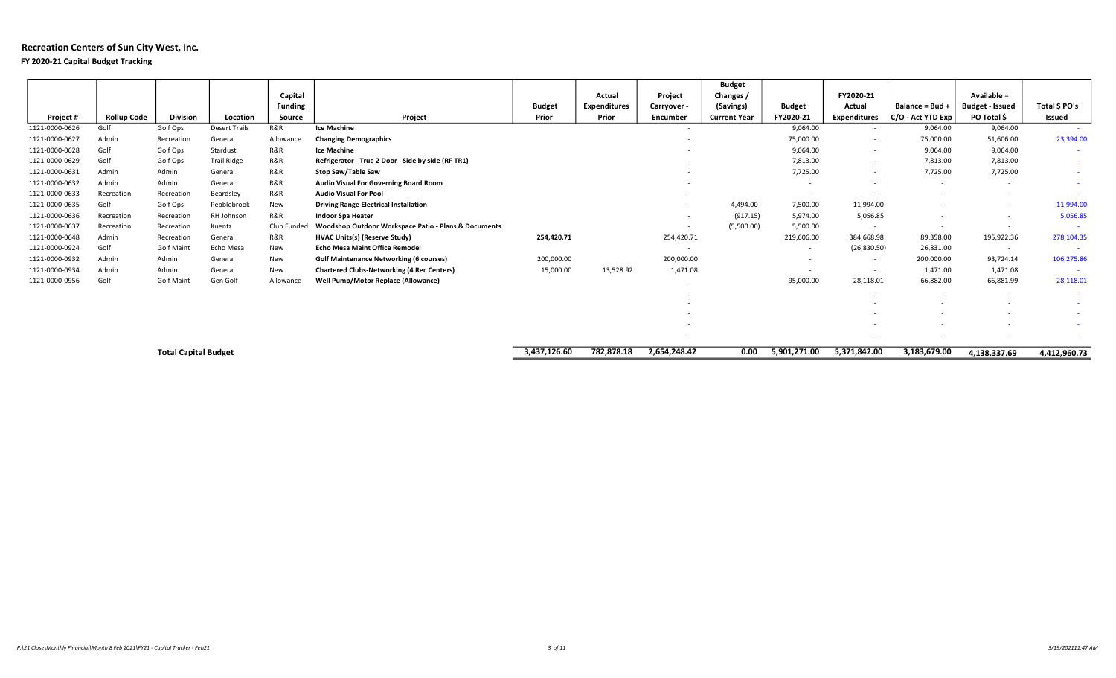## Recreation Centers of Sun City West, Inc. FY 2020-21 Capital Budget Tracking

|                |                    |                             |                      |                |                                                      |               |                     |                          | <b>Budget</b>       |                          |                          |                          |                          |               |
|----------------|--------------------|-----------------------------|----------------------|----------------|------------------------------------------------------|---------------|---------------------|--------------------------|---------------------|--------------------------|--------------------------|--------------------------|--------------------------|---------------|
|                |                    |                             |                      | Capital        |                                                      |               | Actual              | Project                  | Changes /           |                          | FY2020-21                |                          | Available =              |               |
|                |                    |                             |                      | <b>Funding</b> |                                                      | <b>Budget</b> | <b>Expenditures</b> | Carryover -              | (Savings)           | <b>Budget</b>            | Actual                   | Balance = Bud +          | <b>Budget - Issued</b>   | Total \$ PO's |
| Project #      | <b>Rollup Code</b> | <b>Division</b>             | Location             | Source         | Project                                              | Prior         | Prior               | Encumber                 | <b>Current Year</b> | FY2020-21                | <b>Expenditures</b>      | C/O - Act YTD Exp        | PO Total \$              | Issued        |
| 1121-0000-0626 | Golf               | Golf Ops                    | <b>Desert Trails</b> | R&R            | <b>Ice Machine</b>                                   |               |                     | $\sim$                   |                     | 9,064.00                 | $\overline{\phantom{a}}$ | 9,064.00                 | 9,064.00                 |               |
| 1121-0000-0627 | Admin              | Recreation                  | General              | Allowance      | <b>Changing Demographics</b>                         |               |                     |                          |                     | 75,000.00                | $\overline{\phantom{a}}$ | 75,000.00                | 51,606.00                | 23,394.00     |
| 1121-0000-0628 | Golf               | Golf Ops                    | Stardust             | R&R            | <b>Ice Machine</b>                                   |               |                     |                          |                     | 9,064.00                 | $\overline{\phantom{a}}$ | 9,064.00                 | 9,064.00                 | $\sim$        |
| 1121-0000-0629 | Golf               | Golf Ops                    | <b>Trail Ridge</b>   | R&R            | Refrigerator - True 2 Door - Side by side (RF-TR1)   |               |                     |                          |                     | 7,813.00                 |                          | 7,813.00                 | 7,813.00                 | $\sim$        |
| 1121-0000-0631 | Admin              | Admin                       | General              | R&R            | Stop Saw/Table Saw                                   |               |                     |                          |                     | 7,725.00                 | $\overline{\phantom{a}}$ | 7,725.00                 | 7,725.00                 | $\sim$        |
| 1121-0000-0632 | Admin              | Admin                       | General              | R&R            | <b>Audio Visual For Governing Board Room</b>         |               |                     |                          |                     | $\overline{\phantom{a}}$ |                          | $\overline{\phantom{a}}$ | $\overline{\phantom{a}}$ | $\sim$        |
| 1121-0000-0633 | Recreation         | Recreation                  | Beardsley            | R&R            | <b>Audio Visual For Pool</b>                         |               |                     |                          |                     | $\sim$                   |                          | $\overline{\phantom{a}}$ | $\overline{\phantom{a}}$ | $\sim$        |
| 1121-0000-0635 | Golf               | Golf Ops                    | Pebblebrook          | New            | <b>Driving Range Electrical Installation</b>         |               |                     | $\overline{\phantom{a}}$ | 4,494.00            | 7,500.00                 | 11,994.00                | $\overline{\phantom{a}}$ | $\overline{\phantom{a}}$ | 11,994.00     |
| 1121-0000-0636 | Recreation         | Recreation                  | RH Johnson           | R&R            | <b>Indoor Spa Heater</b>                             |               |                     |                          | (917.15)            | 5,974.00                 | 5,056.85                 | $\sim$                   | $\sim$                   | 5,056.85      |
| 1121-0000-0637 | Recreation         | Recreation                  | Kuentz               | Club Funded    | Woodshop Outdoor Workspace Patio - Plans & Documents |               |                     |                          | (5,500.00)          | 5,500.00                 |                          | $\overline{\phantom{a}}$ | $\sim$                   |               |
| 1121-0000-0648 | Admin              | Recreation                  | General              | R&R            | <b>HVAC Units(s) (Reserve Study)</b>                 | 254,420.71    |                     | 254,420.71               |                     | 219,606.00               | 384,668.98               | 89,358.00                | 195,922.36               | 278,104.35    |
| 1121-0000-0924 | Golf               | <b>Golf Maint</b>           | Echo Mesa            | New            | <b>Echo Mesa Maint Office Remodel</b>                |               |                     | $\sim$                   |                     | $\overline{\phantom{a}}$ | (26, 830.50)             | 26,831.00                | $\sim$                   |               |
| 1121-0000-0932 | Admin              | Admin                       | General              | New            | <b>Golf Maintenance Networking (6 courses)</b>       | 200,000.00    |                     | 200,000.00               |                     | $\overline{\phantom{a}}$ |                          | 200,000.00               | 93,724.14                | 106,275.86    |
| 1121-0000-0934 | Admin              | Admin                       | General              | New            | <b>Chartered Clubs-Networking (4 Rec Centers)</b>    | 15,000.00     | 13,528.92           | 1,471.08                 |                     | $\sim$                   | $\overline{\phantom{a}}$ | 1,471.00                 | 1,471.08                 |               |
| 1121-0000-0956 | Golf               | <b>Golf Maint</b>           | Gen Golf             | Allowance      | Well Pump/Motor Replace (Allowance)                  |               |                     |                          |                     | 95,000.00                | 28,118.01                | 66,882.00                | 66,881.99                | 28,118.01     |
|                |                    |                             |                      |                |                                                      |               |                     |                          |                     |                          | $\overline{\phantom{a}}$ | $\sim$                   | $\overline{\phantom{a}}$ | $\sim$        |
|                |                    |                             |                      |                |                                                      |               |                     |                          |                     |                          |                          |                          |                          | $\sim$        |
|                |                    |                             |                      |                |                                                      |               |                     |                          |                     |                          |                          |                          | $\overline{\phantom{a}}$ | $\sim$        |
|                |                    |                             |                      |                |                                                      |               |                     |                          |                     |                          |                          |                          | $\overline{\phantom{a}}$ | $\sim$        |
|                |                    |                             |                      |                |                                                      |               |                     |                          |                     |                          |                          |                          | $\sim$                   |               |
|                |                    | <b>Total Capital Budget</b> |                      |                |                                                      | 3,437,126.60  | 782,878.18          | 2,654,248.42             | 0.00                | 5,901,271.00             | 5,371,842.00             | 3,183,679.00             | 4,138,337.69             | 4,412,960.73  |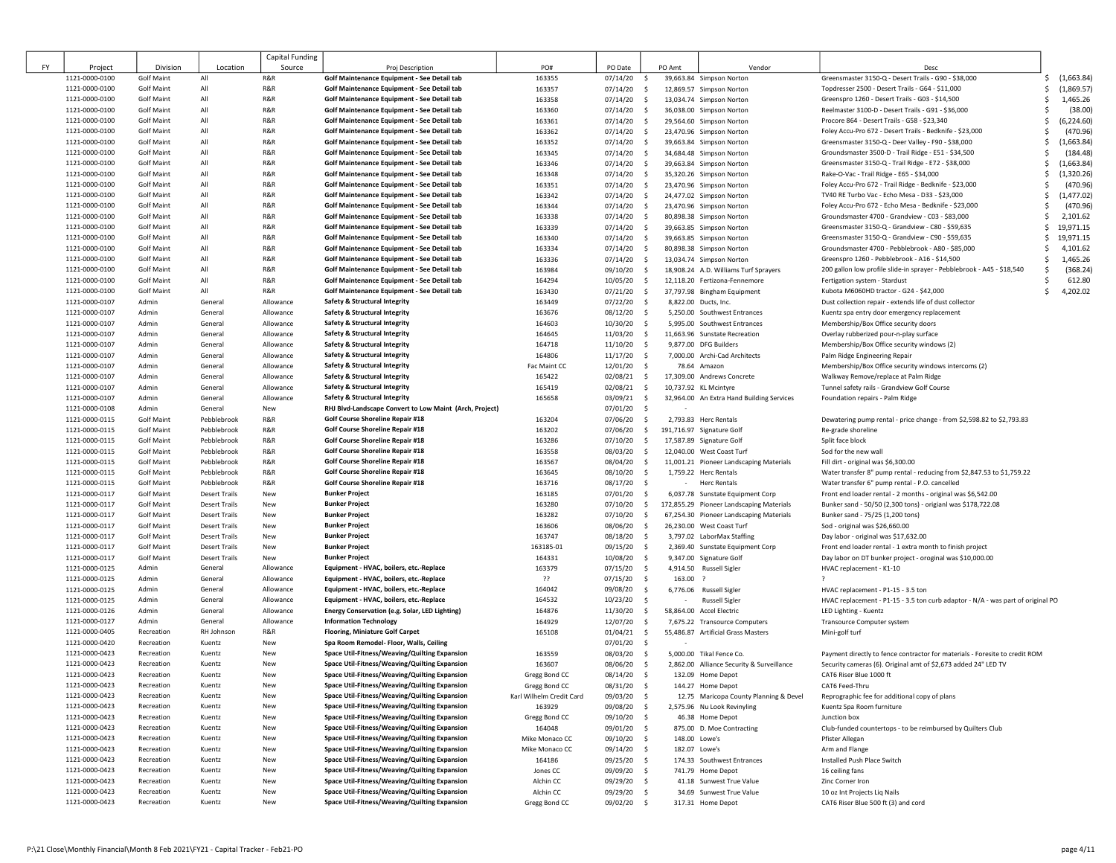|    |                |                   |                      | Capital Funding |                                                         |                          |               |                         |                                           |                                                                                 |                   |
|----|----------------|-------------------|----------------------|-----------------|---------------------------------------------------------|--------------------------|---------------|-------------------------|-------------------------------------------|---------------------------------------------------------------------------------|-------------------|
| FY | Project        | Division          | Location             | Source          | Proj Description                                        | PO#                      | PO Date       | PO Amt                  | Vendor                                    | Desc                                                                            |                   |
|    | 1121-0000-0100 | <b>Golf Maint</b> | All                  | R&R             | Golf Maintenance Equipment - See Detail tab             | 163355                   | 07/14/20      | $\mathsf{S}$            | 39,663.84 Simpson Norton                  | Greensmaster 3150-Q - Desert Trails - G90 - \$38,000                            | (1,663.84)<br>Ŝ   |
|    | 1121-0000-0100 | <b>Golf Maint</b> | All                  | R&R             | Golf Maintenance Equipment - See Detail tab             | 163357                   | 07/14/20      | $\mathsf{S}$            | 12,869.57 Simpson Norton                  | Topdresser 2500 - Desert Trails - G64 - \$11,000                                | (1,869.57)<br>Ś   |
|    | 1121-0000-0100 | <b>Golf Maint</b> | All                  | R&R             | Golf Maintenance Equipment - See Detail tab             | 163358                   | $07/14/20$ \$ |                         | 13,034.74 Simpson Norton                  | Greenspro 1260 - Desert Trails - G03 - \$14,500                                 | 1,465.26<br>Ś     |
|    | 1121-0000-0100 | <b>Golf Maint</b> | All                  | R&R             | Golf Maintenance Equipment - See Detail tab             | 163360                   | $07/14/20$ \$ |                         | 36,038.00 Simpson Norton                  | Reelmaster 3100-D - Desert Trails - G91 - \$36,000                              | (38.00)<br>Ś      |
|    | 1121-0000-0100 | <b>Golf Maint</b> | All                  | R&R             | Golf Maintenance Equipment - See Detail tab             | 163361                   | $07/14/20$ \$ |                         | 29,564.60 Simpson Norton                  | Procore 864 - Desert Trails - G58 - \$23,340                                    | Ś<br>(6, 224.60)  |
|    | 1121-0000-0100 | <b>Golf Maint</b> | All                  | R&R             | Golf Maintenance Equipment - See Detail tab             | 163362                   | 07/14/20      | $\sim$                  | 23,470.96 Simpson Norton                  | Foley Accu-Pro 672 - Desert Trails - Bedknife - \$23,000                        | (470.96)<br>Ś     |
|    | 1121-0000-0100 | <b>Golf Maint</b> | All                  | R&R             | Golf Maintenance Equipment - See Detail tab             | 163352                   | $07/14/20$ \$ |                         | 39,663.84 Simpson Norton                  | Greensmaster 3150-Q - Deer Valley - F90 - \$38,000                              | (1,663.84)<br>Ś   |
|    | 1121-0000-0100 | <b>Golf Maint</b> | All                  | R&R             | Golf Maintenance Equipment - See Detail tab             | 163345                   | $07/14/20$ \$ |                         | 34,684.48 Simpson Norton                  | Groundsmaster 3500-D - Trail Ridge - E51 - \$34,500                             | (184.48)<br>Ś     |
|    | 1121-0000-0100 | <b>Golf Maint</b> | All                  | R&R             | Golf Maintenance Equipment - See Detail tab             | 163346                   | 07/14/20      | $\frac{1}{2}$           | 39,663.84 Simpson Norton                  | Greensmaster 3150-Q - Trail Ridge - E72 - \$38,000                              | (1,663.84)<br>\$  |
|    | 1121-0000-0100 | <b>Golf Maint</b> | All                  | R&R             | Golf Maintenance Equipment - See Detail tab             | 163348                   | 07/14/20      | \$                      | 35,320.26 Simpson Norton                  | Rake-O-Vac - Trail Ridge - E65 - \$34,000                                       | (1,320.26)<br>\$  |
|    | 1121-0000-0100 | <b>Golf Maint</b> | All                  | R&R             | Golf Maintenance Equipment - See Detail tab             | 163351                   | 07/14/20      | $\ddot{\mathsf{s}}$     | 23,470.96 Simpson Norton                  | Foley Accu-Pro 672 - Trail Ridge - Bedknife - \$23,000                          | (470.96)<br>s     |
|    | 1121-0000-0100 | <b>Golf Maint</b> | All                  | R&R             | Golf Maintenance Equipment - See Detail tab             | 163342                   | 07/14/20      | $\ddot{\mathsf{s}}$     | 24,477.02 Simpson Norton                  | TV40 RE Turbo Vac - Echo Mesa - D33 - \$23,000                                  | (1, 477.02)<br>\$ |
|    | 1121-0000-0100 | <b>Golf Maint</b> | All                  | R&R             | Golf Maintenance Equipment - See Detail tab             | 163344                   | $07/14/20$ \$ |                         | 23,470.96 Simpson Norton                  | Foley Accu-Pro 672 - Echo Mesa - Bedknife - \$23,000                            | (470.96)<br>Ś     |
|    | 1121-0000-0100 | <b>Golf Maint</b> | All                  | R&R             | Golf Maintenance Equipment - See Detail tab             | 163338                   | 07/14/20      | $\ddot{\mathsf{s}}$     | 80,898.38 Simpson Norton                  | Groundsmaster 4700 - Grandview - C03 - \$83,000                                 | Ś<br>2,101.62     |
|    | 1121-0000-0100 | <b>Golf Maint</b> | All                  | R&R             | Golf Maintenance Equipment - See Detail tab             | 163339                   | $07/14/20$ \$ |                         | 39,663.85 Simpson Norton                  | Greensmaster 3150-Q - Grandview - C80 - \$59,635                                | 19,971.15<br>Ś.   |
|    | 1121-0000-0100 | <b>Golf Maint</b> | All                  | R&R             | Golf Maintenance Equipment - See Detail tab             | 163340                   | 07/14/20      | $\sim$                  | 39,663.85 Simpson Norton                  | Greensmaster 3150-Q - Grandview - C90 - \$59,635                                | 19,971.15<br>Ŝ.   |
|    | 1121-0000-0100 | <b>Golf Maint</b> | All                  | R&R             | Golf Maintenance Equipment - See Detail tab             | 163334                   | 07/14/20      | $\ddot{\mathsf{s}}$     | 80,898.38 Simpson Norton                  | Groundsmaster 4700 - Pebblebrook - A80 - \$85,000                               | 4,101.62<br>Ś     |
|    | 1121-0000-0100 | <b>Golf Maint</b> | All                  | R&R             | Golf Maintenance Equipment - See Detail tab             | 163336                   | 07/14/20      | \$                      | 13,034.74 Simpson Norton                  | Greenspro 1260 - Pebblebrook - A16 - \$14,500                                   | 1,465.26<br>Ś     |
|    | 1121-0000-0100 | <b>Golf Maint</b> | All                  | R&R             | Golf Maintenance Equipment - See Detail tab             | 163984                   | 09/10/20      | $\ddot{\mathsf{s}}$     | 18,908.24 A.D. Williams Turf Sprayers     | 200 gallon low profile slide-in sprayer - Pebblebrook - A45 - \$18,540          | (368.24)<br>Ŝ     |
|    | 1121-0000-0100 | <b>Golf Maint</b> | All                  | R&R             | Golf Maintenance Equipment - See Detail tab             | 164294                   | 10/05/20      | \$                      | 12,118.20 Fertizona-Fennemore             | Fertigation system - Stardust                                                   | 612.80            |
|    | 1121-0000-0100 | <b>Golf Maint</b> | All                  | R&R             | Golf Maintenance Equipment - See Detail tab             | 163430                   | 07/21/20      | $\ddot{\mathsf{s}}$     | 37,797.98 Bingham Equipment               | Kubota M6060HD tractor - G24 - \$42,000                                         | 4,202.02<br>Ś.    |
|    | 1121-0000-0107 | Admin             | General              | Allowance       | Safety & Structural Integrity                           | 163449                   | 07/22/20      | $\mathsf{S}$            | 8,822.00 Ducts, Inc.                      | Dust collection repair - extends life of dust collector                         |                   |
|    | 1121-0000-0107 | Admin             | General              | Allowance       | Safety & Structural Integrity                           | 163676                   | 08/12/20      | $\mathsf{S}$            | 5,250.00 Southwest Entrances              | Kuentz spa entry door emergency replacement                                     |                   |
|    | 1121-0000-0107 | Admin             | General              | Allowance       | Safety & Structural Integrity                           | 164603                   | 10/30/20      | $\mathsf{S}$            | 5.995.00 Southwest Entrances              | Membership/Box Office security doors                                            |                   |
|    | 1121-0000-0107 | Admin             | General              | Allowance       | <b>Safety &amp; Structural Integrity</b>                | 164645                   | 11/03/20      | $\mathsf{S}$            | 11.663.96 Sunstate Recreation             | Overlay rubberized pour-n-play surface                                          |                   |
|    | 1121-0000-0107 | Admin             | General              | Allowance       | Safety & Structural Integrity                           | 164718                   | 11/10/20      | $\mathsf{S}$            | 9,877.00 DFG Builders                     | Membership/Box Office security windows (2)                                      |                   |
|    | 1121-0000-0107 | Admin             | General              | Allowance       | Safety & Structural Integrity                           | 164806                   | 11/17/20      | $\mathsf{S}$            | 7,000.00 Archi-Cad Architects             | Palm Ridge Engineering Repair                                                   |                   |
|    | 1121-0000-0107 | Admin             | General              | Allowance       | <b>Safety &amp; Structural Integrity</b>                | Fac Maint CC             | $12/01/20$ \$ |                         | 78.64 Amazon                              | Membership/Box Office security windows intercoms (2)                            |                   |
|    | 1121-0000-0107 | Admin             | General              | Allowance       | <b>Safety &amp; Structural Integrity</b>                | 165422                   | 02/08/21      | $\sim$                  | 17,309.00 Andrews Concrete                | Walkway Remove/replace at Palm Ridge                                            |                   |
|    | 1121-0000-0107 | Admin             | General              | Allowance       | Safety & Structural Integrity                           | 165419                   | $02/08/21$ \$ |                         | 10,737.92 KL Mcintyre                     | Tunnel safety rails - Grandview Golf Course                                     |                   |
|    | 1121-0000-0107 | Admin             | General              | Allowance       | Safety & Structural Integrity                           | 165658                   | 03/09/21 \$   |                         | 32,964.00 An Extra Hand Building Services | Foundation repairs - Palm Ridge                                                 |                   |
|    | 1121-0000-0108 | Admin             | General              | New             | RHJ Blvd-Landscape Convert to Low Maint (Arch, Project) |                          | 07/01/20 \$   |                         |                                           |                                                                                 |                   |
|    | 1121-0000-0115 | <b>Golf Maint</b> | Pebblebrook          | R&R             | Golf Course Shoreline Repair #18                        | 163204                   | 07/06/20      | $\ddot{\mathsf{s}}$     | 2,793.83 Herc Rentals                     | Dewatering pump rental - price change - from \$2,598.82 to \$2,793.83           |                   |
|    | 1121-0000-0115 | <b>Golf Maint</b> | Pebblebrook          | R&R             | Golf Course Shoreline Repair #18                        | 163202                   | 07/06/20      | $\sim$                  | 191,716.97 Signature Golf                 | Re-grade shoreline                                                              |                   |
|    | 1121-0000-0115 | Golf Maint        | Pebblebrook          | R&R             | Golf Course Shoreline Repair #18                        | 163286                   | 07/10/20      | \$                      | 17,587.89 Signature Golf                  | Split face block                                                                |                   |
|    | 1121-0000-0115 | <b>Golf Maint</b> | Pebblebrook          | R&R             | Golf Course Shoreline Repair #18                        | 163558                   | 08/03/20      | $\ddot{\mathsf{s}}$     | 12,040.00 West Coast Turf                 | Sod for the new wall                                                            |                   |
|    | 1121-0000-0115 | <b>Golf Maint</b> | Pebblebrook          | R&R             | Golf Course Shoreline Repair #18                        | 163567                   | 08/04/20      | \$                      | 11,001.21 Pioneer Landscaping Materials   | Fill dirt - original was \$6,300.00                                             |                   |
|    | 1121-0000-0115 | <b>Golf Maint</b> | Pebblebrook          | R&R             | Golf Course Shoreline Repair #18                        | 163645                   | 08/10/20      | $\sim$                  | 1,759.22 Herc Rentals                     | Water transfer 8" pump rental - reducing from \$2,847.53 to \$1,759.22          |                   |
|    | 1121-0000-0115 | <b>Golf Maint</b> | Pebblebrook          | R&R             | Golf Course Shoreline Repair #18                        | 163716                   | 08/17/20      | $\ddot{\mathsf{s}}$     | Herc Rentals                              | Water transfer 6" pump rental - P.O. cancelled                                  |                   |
|    | 1121-0000-0117 | <b>Golf Maint</b> | <b>Desert Trails</b> | New             | <b>Bunker Project</b>                                   | 163185                   | 07/01/20      | $\ddot{\mathsf{s}}$     | 6,037.78 Sunstate Equipment Corp          | Front end loader rental - 2 months - original was \$6,542.00                    |                   |
|    | 1121-0000-0117 | <b>Golf Maint</b> | <b>Desert Trails</b> | New             | <b>Bunker Project</b>                                   | 163280                   | 07/10/20      | \$                      | 172,855.29 Pioneer Landscaping Materials  | Bunker sand - 50/50 (2,300 tons) - origianl was \$178,722.08                    |                   |
|    | 1121-0000-0117 | <b>Golf Maint</b> | <b>Desert Trails</b> | New             | <b>Bunker Project</b>                                   | 163282                   | 07/10/20      | \$                      | 67,254.30 Pioneer Landscaping Materials   | Bunker sand - 75/25 (1,200 tons)                                                |                   |
|    | 1121-0000-0117 | <b>Golf Maint</b> | <b>Desert Trails</b> | New             | <b>Bunker Project</b>                                   | 163606                   | 08/06/20      | \$                      | 26,230.00 West Coast Turf                 | Sod - original was \$26,660.00                                                  |                   |
|    | 1121-0000-0117 | <b>Golf Maint</b> | <b>Desert Trails</b> | New             | <b>Bunker Project</b>                                   | 163747                   | 08/18/20      | $\ddot{\mathsf{s}}$     | 3,797.02 LaborMax Staffing                | Day labor - original was \$17,632.00                                            |                   |
|    | 1121-0000-0117 | <b>Golf Maint</b> | <b>Desert Trails</b> | New             | <b>Bunker Project</b>                                   | 163185-01                | 09/15/20      | $\ddot{\mathsf{s}}$     | 2,369.40 Sunstate Equipment Corp          | Front end loader rental - 1 extra month to finish project                       |                   |
|    | 1121-0000-0117 | <b>Golf Maint</b> | <b>Desert Trails</b> | New             | <b>Bunker Project</b>                                   | 164331                   | 10/08/20      | $\ddot{\mathsf{s}}$     | 9,347.00 Signature Golf                   | Day labor on DT bunker project - oroginal was \$10,000.00                       |                   |
|    | 1121-0000-0125 | Admin             | General              | Allowance       | Equipment - HVAC, boilers, etc.-Replace                 | 163379                   | 07/15/20      | $\mathsf{S}$            | 4,914.50 Russell Sigler                   | HVAC replacement - K1-10                                                        |                   |
|    | 1121-0000-0125 | Admin             | General              | Allowance       | Equipment - HVAC, boilers, etc.-Replace                 | - ??                     | 07/15/20      | $\mathsf{S}$<br>163.00  |                                           |                                                                                 |                   |
|    | 1121-0000-0125 | Admin             | General              | Allowance       | Equipment - HVAC, boilers, etc.-Replace                 | 164042                   | 09/08/20      | $\mathsf{S}$            | 6,776.06 Russell Sigler                   | HVAC replacement - P1-15 - 3.5 ton                                              |                   |
|    | 1121-0000-0125 | Admin             | General              | Allowance       | Equipment - HVAC, boilers, etc.-Replace                 | 164532                   | $10/23/20$ \$ | $\sim$                  | <b>Russell Sigler</b>                     | HVAC replacement - P1-15 - 3.5 ton curb adaptor - N/A - was part of original PO |                   |
|    | 1121-0000-0126 | Admin             | General              | Allowance       | Energy Conservation (e.g. Solar, LED Lighting)          | 164876                   | 11/30/20      | $\mathsf{S}$            | 58,864.00 Accel Electric                  | LED Lighting - Kuentz                                                           |                   |
|    | 1121-0000-0127 | Admin             | General              | Allowance       | <b>Information Technology</b>                           | 164929                   | 12/07/20      | $\mathsf{S}$            | 7,675.22 Transource Computers             | <b>Transource Computer system</b>                                               |                   |
|    | 1121-0000-0405 | Recreation        | RH Johnson           | R&R             | <b>Flooring, Miniature Golf Carpet</b>                  | 165108                   | $01/04/21$ \$ |                         | 55,486.87 Artificial Grass Masters        | Mini-golf turf                                                                  |                   |
|    | 1121-0000-0420 | Recreation        | Kuentz               | New             | Spa Room Remodel- Floor, Walls, Ceiling                 |                          | 07/01/20 \$   |                         |                                           |                                                                                 |                   |
|    | 1121-0000-0423 | Recreation        | Kuentz               | New             | Space Util-Fitness/Weaving/Quilting Expansion           | 163559                   | 08/03/20      | $\sim$                  | 5,000.00 Tikal Fence Co.                  | Payment directly to fence contractor for materials - Foresite to credit ROM     |                   |
|    | 1121-0000-0423 | Recreation        | Kuentz               | New             | Space Util-Fitness/Weaving/Quilting Expansion           | 163607                   | 08/06/20      | \$                      | 2,862.00 Alliance Security & Surveillance | Security cameras (6). Original amt of \$2,673 added 24" LED TV                  |                   |
|    | 1121-0000-0423 | Recreation        | Kuentz               | New             | Space Util-Fitness/Weaving/Quilting Expansion           | Gregg Bond CC            | 08/14/20      | $\sim$                  | 132.09 Home Depot                         | CAT6 Riser Blue 1000 ft                                                         |                   |
|    | 1121-0000-0423 | Recreation        | Kuentz               | New             | Space Util-Fitness/Weaving/Quilting Expansion           | Gregg Bond CC            | 08/31/20      | - \$                    | 144.27 Home Depot                         | CAT6 Feed-Thru                                                                  |                   |
|    | 1121-0000-0423 | Recreation        | Kuentz               | New             | Space Util-Fitness/Weaving/Quilting Expansion           | Karl Wilhelm Credit Card | 09/03/20 \$   |                         | 12.75 Maricopa County Planning & Devel    | Reprographic fee for additional copy of plans                                   |                   |
|    | 1121-0000-0423 | Recreation        | Kuentz               | New             | Space Util-Fitness/Weaving/Quilting Expansion           | 163929                   | 09/08/20      | \$                      | 2,575.96 Nu Look Revinyling               | Kuentz Spa Room furniture                                                       |                   |
|    | 1121-0000-0423 | Recreation        | Kuentz               | New             | Space Util-Fitness/Weaving/Quilting Expansion           | Gregg Bond CC            | 09/10/20 \$   |                         | 46.38 Home Depot                          | Junction box                                                                    |                   |
|    | 1121-0000-0423 | Recreation        | Kuentz               | New             | Space Util-Fitness/Weaving/Quilting Expansion           | 164048                   | 09/01/20      | $\ddot{\mathsf{s}}$     | 875.00 D. Moe Contracting                 | Club-funded countertops - to be reimbursed by Quilters Club                     |                   |
|    | 1121-0000-0423 | Recreation        | Kuentz               | New             | Space Util-Fitness/Weaving/Quilting Expansion           | Mike Monaco CC           | 09/10/20      | $\sim$<br>148.00 Lowe's |                                           | Pfister Allegan                                                                 |                   |
|    | 1121-0000-0423 | Recreation        | Kuentz               | New             | Space Util-Fitness/Weaving/Quilting Expansion           | Mike Monaco CC           | 09/14/20      | 182.07 Lowe's<br>- \$   |                                           | Arm and Flange                                                                  |                   |
|    | 1121-0000-0423 | Recreation        | Kuentz               | New             | Space Util-Fitness/Weaving/Quilting Expansion           | 164186                   | 09/25/20 \$   |                         | 174.33 Southwest Entrances                | Installed Push Place Switch                                                     |                   |
|    | 1121-0000-0423 | Recreation        | Kuentz               | New             | Space Util-Fitness/Weaving/Quilting Expansion           | Jones CC                 | 09/09/20 \$   |                         | 741.79 Home Depot                         | 16 ceiling fans                                                                 |                   |
|    | 1121-0000-0423 | Recreation        | Kuentz               | New             | Space Util-Fitness/Weaving/Quilting Expansion           | Alchin CC                | 09/29/20 \$   |                         | 41.18 Sunwest True Value                  | Zinc Corner Iron                                                                |                   |
|    | 1121-0000-0423 | Recreation        | Kuentz               | New             | Space Util-Fitness/Weaving/Quilting Expansion           | Alchin CC                | 09/29/20 \$   |                         | 34.69 Sunwest True Value                  | 10 oz Int Projects Liq Nails                                                    |                   |
|    | 1121-0000-0423 | Recreation        | Kuentz               | New             | Space Util-Fitness/Weaving/Quilting Expansion           | Gregg Bond CC            | 09/02/20 \$   |                         | 317.31 Home Depot                         | CAT6 Riser Blue 500 ft (3) and cord                                             |                   |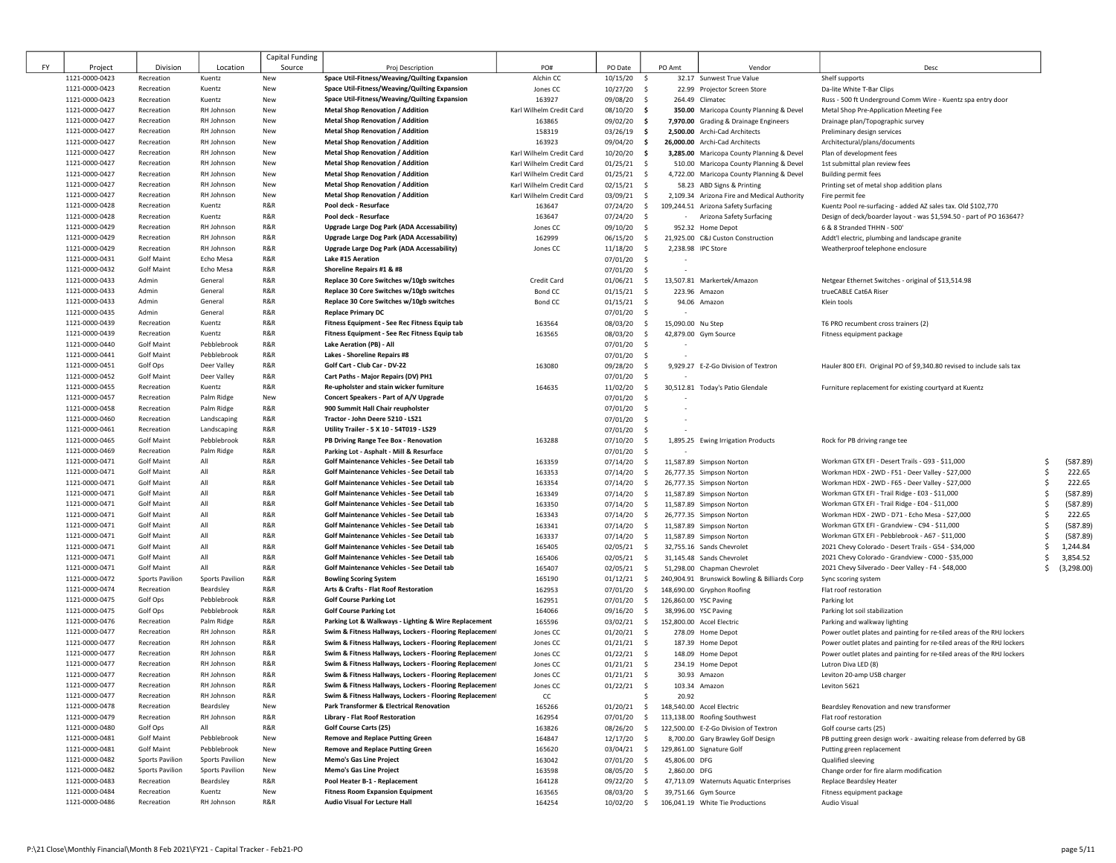|    |                                  |                                        |                            | Capital Funding |                                                                                          |                                                      |                      |                    |                       |                                                                                      |                                                                        |                      |
|----|----------------------------------|----------------------------------------|----------------------------|-----------------|------------------------------------------------------------------------------------------|------------------------------------------------------|----------------------|--------------------|-----------------------|--------------------------------------------------------------------------------------|------------------------------------------------------------------------|----------------------|
| FY | Project                          | Division                               | Location                   | Source          | Proj Description                                                                         | PO#                                                  | PO Date              |                    | PO Amt                | Vendor                                                                               | Desc                                                                   |                      |
|    | 1121-0000-0423                   | Recreation                             | Kuentz                     | New             | Space Util-Fitness/Weaving/Quilting Expansion                                            | Alchin CC                                            | 10/15/20             | -\$                |                       | 32.17 Sunwest True Value                                                             | Shelf supports                                                         |                      |
|    | 1121-0000-0423                   | Recreation                             | Kuentz                     | New             | Space Util-Fitness/Weaving/Quilting Expansion                                            | Jones CC                                             | 10/27/20             | - S                |                       | 22.99 Projector Screen Store                                                         | Da-lite White T-Bar Clips                                              |                      |
|    | 1121-0000-0423                   | Recreation                             | Kuentz                     | New             | Space Util-Fitness/Weaving/Quilting Expansion                                            | 163927                                               | 09/08/20             | \$                 |                       | 264.49 Climatec                                                                      | Russ - 500 ft Underground Comm Wire - Kuentz spa entry door            |                      |
|    | 1121-0000-0427                   | Recreation                             | RH Johnson                 | New             | <b>Metal Shop Renovation / Addition</b>                                                  | Karl Wilhelm Credit Card                             | 08/10/20             | - \$               |                       | 350.00 Maricopa County Planning & Devel                                              | Metal Shop Pre-Application Meeting Fee                                 |                      |
|    | 1121-0000-0427                   | Recreation                             | RH Johnson                 | New             | <b>Metal Shop Renovation / Addition</b>                                                  | 163865                                               | 09/02/20             | -\$                |                       | 7,970.00 Grading & Drainage Engineers                                                | Drainage plan/Topographic survey                                       |                      |
|    | 1121-0000-0427                   | Recreation                             | RH Johnson                 | New             | <b>Metal Shop Renovation / Addition</b>                                                  | 158319                                               | 03/26/19             | -\$                |                       | 2,500.00 Archi-Cad Architects                                                        | Preliminary design services                                            |                      |
|    | 1121-0000-0427<br>1121-0000-0427 | Recreation                             | RH Johnson<br>RH Johnson   | New             | <b>Metal Shop Renovation / Addition</b>                                                  | 163923                                               | 09/04/20 \$          |                    |                       | 26,000.00 Archi-Cad Architects                                                       | Architectural/plans/documents                                          |                      |
|    | 1121-0000-0427                   | Recreation<br>Recreation               | RH Johnson                 | New<br>New      | <b>Metal Shop Renovation / Addition</b><br><b>Metal Shop Renovation / Addition</b>       | Karl Wilhelm Credit Card<br>Karl Wilhelm Credit Card | 10/20/20<br>01/25/21 | - \$<br>- \$       |                       | 3,285.00 Maricopa County Planning & Devel                                            | Plan of development fees<br>1st submittal plan review fees             |                      |
|    | 1121-0000-0427                   | Recreation                             | RH Johnson                 | New             | <b>Metal Shop Renovation / Addition</b>                                                  | Karl Wilhelm Credit Card                             | 01/25/21             | \$                 |                       | 510.00 Maricopa County Planning & Devel<br>4,722.00 Maricopa County Planning & Devel | <b>Building permit fees</b>                                            |                      |
|    | 1121-0000-0427                   | Recreation                             | RH Johnson                 | New             | <b>Metal Shop Renovation / Addition</b>                                                  | Karl Wilhelm Credit Card                             | $02/15/21$ \$        |                    |                       | 58.23 ABD Signs & Printing                                                           | Printing set of metal shop addition plans                              |                      |
|    | 1121-0000-0427                   | Recreation                             | RH Johnson                 | New             | <b>Metal Shop Renovation / Addition</b>                                                  | Karl Wilhelm Credit Card                             | 03/09/21             | \$                 |                       | 2,109.34 Arizona Fire and Medical Authority                                          | Fire permit fee                                                        |                      |
|    | 1121-0000-0428                   | Recreation                             | Kuentz                     | R&R             | Pool deck - Resurface                                                                    | 163647                                               | 07/24/20             | $\frac{1}{2}$      |                       | 109,244.51 Arizona Safety Surfacing                                                  | Kuentz Pool re-surfacing - added AZ sales tax. Old \$102,770           |                      |
|    | 1121-0000-0428                   | Recreation                             | Kuentz                     | R&R             | Pool deck - Resurface                                                                    | 163647                                               | 07/24/20             | \$                 |                       | Arizona Safety Surfacing                                                             | Design of deck/boarder layout - was \$1,594.50 - part of PO 163647?    |                      |
|    | 1121-0000-0429                   | Recreation                             | RH Johnson                 | R&R             | <b>Upgrade Large Dog Park (ADA Accessability)</b>                                        | Jones CC                                             | 09/10/20             | \$                 |                       | 952.32 Home Depot                                                                    | 6 & 8 Stranded THHN - 500'                                             |                      |
|    | 1121-0000-0429                   | Recreation                             | RH Johnson                 | R&R             | <b>Upgrade Large Dog Park (ADA Accessability)</b>                                        | 162999                                               | 06/15/20             | S.                 |                       | 21,925.00 C&J Custon Construction                                                    | Addt'l electric, plumbing and landscape granite                        |                      |
|    | 1121-0000-0429                   | Recreation                             | RH Johnson                 | R&R             | <b>Upgrade Large Dog Park (ADA Accessability)</b>                                        | Jones CC                                             | 11/18/20             | \$                 | 2.238.98 IPC Store    |                                                                                      | Weatherproof telephone enclosure                                       |                      |
|    | 1121-0000-0431                   | <b>Golf Maint</b>                      | Echo Mesa                  | R&R             | Lake #15 Aeration                                                                        |                                                      | 07/01/20             | $\sim$             |                       |                                                                                      |                                                                        |                      |
|    | 1121-0000-0432                   | <b>Golf Maint</b>                      | Echo Mesa                  | R&R             | Shoreline Repairs #1 & #8                                                                |                                                      | 07/01/20             | \$                 |                       |                                                                                      |                                                                        |                      |
|    | 1121-0000-0433                   | Admin                                  | General                    | R&R             | Replace 30 Core Switches w/10gb switches                                                 | Credit Card                                          | 01/06/21             | \$                 |                       | 13,507.81 Markertek/Amazon                                                           | Netgear Ethernet Switches - original of \$13,514.98                    |                      |
|    | 1121-0000-0433                   | Admin                                  | General                    | R&R             | Replace 30 Core Switches w/10gb switches                                                 | Bond CC                                              | 01/15/21             | \$                 | 223.96 Amazon         |                                                                                      | trueCABLE Cat6A Riser                                                  |                      |
|    | 1121-0000-0433                   | Admin                                  | General                    | R&R             | Replace 30 Core Switches w/10gb switches                                                 | <b>Bond CC</b>                                       | $01/15/21$ \$        |                    |                       | 94.06 Amazon                                                                         | Klein tools                                                            |                      |
|    | 1121-0000-0435                   | Admin                                  | General                    | R&R             | <b>Replace Primary DC</b>                                                                |                                                      | 07/01/20 \$          |                    |                       |                                                                                      |                                                                        |                      |
|    | 1121-0000-0439                   | Recreation                             | Kuentz                     | R&R             | Fitness Equipment - See Rec Fitness Equip tab                                            | 163564                                               | 08/03/20             | \$                 | 15,090.00 Nu Step     |                                                                                      | T6 PRO recumbent cross trainers (2)                                    |                      |
|    | 1121-0000-0439                   | Recreation                             | Kuentz                     | R&R             | Fitness Equipment - See Rec Fitness Equip tab                                            | 163565                                               | 08/03/20             | \$                 |                       | 42,879.00 Gym Source                                                                 | Fitness equipment package                                              |                      |
|    | 1121-0000-0440                   | <b>Golf Maint</b>                      | Pebblebrook                | R&R             | Lake Aeration (PB) - All                                                                 |                                                      | 07/01/20             | \$                 |                       |                                                                                      |                                                                        |                      |
|    | 1121-0000-0441                   | <b>Golf Maint</b>                      | Pebblebrook                | R&R<br>R&R      | Lakes - Shoreline Repairs #8                                                             |                                                      | 07/01/20             | \$                 |                       |                                                                                      |                                                                        |                      |
|    | 1121-0000-0451<br>1121-0000-0452 | Golf Ops<br><b>Golf Maint</b>          | Deer Valley<br>Deer Valley | R&R             | Golf Cart - Club Car - DV-22<br>Cart Paths - Major Repairs (DV) PH1                      | 163080                                               | 09/28/20             | -\$<br>- \$        |                       | 9,929.27 E-Z-Go Division of Textron                                                  | Hauler 800 EFI. Original PO of \$9,340.80 revised to include sals tax  |                      |
|    | 1121-0000-0455                   | Recreation                             | Kuentz                     | R&R             | Re-upholster and stain wicker furniture                                                  | 164635                                               | 07/01/20<br>11/02/20 | $\sim$             |                       | 30,512.81 Today's Patio Glendale                                                     | Furniture replacement for existing courtyard at Kuentz                 |                      |
|    | 1121-0000-0457                   | Recreation                             | Palm Ridge                 | New             | Concert Speakers - Part of A/V Upgrade                                                   |                                                      | 07/01/20             | -\$                |                       |                                                                                      |                                                                        |                      |
|    | 1121-0000-0458                   | Recreation                             | Palm Ridge                 | R&R             | 900 Summit Hall Chair reupholster                                                        |                                                      | 07/01/20             | \$                 |                       |                                                                                      |                                                                        |                      |
|    | 1121-0000-0460                   | Recreation                             | Landscaping                | R&R             | Tractor - John Deere 5210 - LS21                                                         |                                                      | 07/01/20             | -\$                |                       |                                                                                      |                                                                        |                      |
|    | 1121-0000-0461                   | Recreation                             | Landscaping                | R&R             | Utility Trailer - 5 X 10 - 54T019 - LS29                                                 |                                                      | 07/01/20             | - \$               |                       |                                                                                      |                                                                        |                      |
|    | 1121-0000-0465                   | <b>Golf Maint</b>                      | Pebblebrook                | R&R             | PB Driving Range Tee Box - Renovation                                                    | 163288                                               | 07/10/20             | - \$               |                       | 1,895.25 Ewing Irrigation Products                                                   | Rock for PB driving range tee                                          |                      |
|    | 1121-0000-0469                   | Recreation                             | Palm Ridge                 | R&R             | Parking Lot - Asphalt - Mill & Resurface                                                 |                                                      | 07/01/20             | - \$               |                       |                                                                                      |                                                                        |                      |
|    | 1121-0000-0471                   | <b>Golf Maint</b>                      | All                        | R&R             | Golf Maintenance Vehicles - See Detail tab                                               | 163359                                               | 07/14/20             | \$                 |                       | 11,587.89 Simpson Norton                                                             | Workman GTX EFI - Desert Trails - G93 - \$11,000                       | Ś<br>(587.89)        |
|    | 1121-0000-0471                   | <b>Golf Maint</b>                      | All                        | R&R             | Golf Maintenance Vehicles - See Detail tab                                               | 163353                                               | 07/14/20             | \$                 |                       | 26,777.35 Simpson Norton                                                             | Workman HDX - 2WD - F51 - Deer Valley - \$27,000                       | \$<br>222.65         |
|    | 1121-0000-0471                   | <b>Golf Maint</b>                      | All                        | R&R             | Golf Maintenance Vehicles - See Detail tab                                               | 163354                                               | 07/14/20             | \$                 |                       | 26,777.35 Simpson Norton                                                             | Workman HDX - 2WD - F65 - Deer Valley - \$27,000                       | Ŝ.<br>222.65         |
|    | 1121-0000-0471                   | <b>Golf Maint</b>                      | All                        | R&R             | Golf Maintenance Vehicles - See Detail tab                                               | 163349                                               | 07/14/20             | \$                 |                       | 11,587.89 Simpson Norton                                                             | Workman GTX EFI - Trail Ridge - E03 - \$11,000                         | \$<br>(587.89)       |
|    | 1121-0000-0471                   | <b>Golf Maint</b>                      | All                        | R&R             | Golf Maintenance Vehicles - See Detail tab                                               | 163350                                               | 07/14/20             | $\frac{1}{2}$      |                       | 11,587.89 Simpson Norton                                                             | Workman GTX EFI - Trail Ridge - E04 - \$11,000                         | (587.89)<br>\$       |
|    | 1121-0000-0471                   | <b>Golf Maint</b>                      | All                        | R&R             | Golf Maintenance Vehicles - See Detail tab                                               | 163343                                               | 07/14/20             | $\sim$             |                       | 26,777.35 Simpson Norton                                                             | Workman HDX - 2WD - D71 - Echo Mesa - \$27,000                         | \$<br>222.65         |
|    | 1121-0000-0471                   | <b>Golf Maint</b>                      | All                        | R&R             | Golf Maintenance Vehicles - See Detail tab                                               | 163341                                               | 07/14/20             | $\frac{1}{2}$      |                       | 11,587.89 Simpson Norton                                                             | Workman GTX EFI - Grandview - C94 - \$11,000                           | (587.89)<br>Ś        |
|    | 1121-0000-0471                   | <b>Golf Maint</b>                      | All                        | R&R             | Golf Maintenance Vehicles - See Detail tab                                               | 163337                                               | 07/14/20             | \$                 |                       | 11,587.89 Simpson Norton                                                             | Workman GTX EFI - Pebblebrook - A67 - \$11,000                         | Ŝ.<br>(587.89)       |
|    | 1121-0000-0471                   | <b>Golf Maint</b>                      | All                        | R&R             | Golf Maintenance Vehicles - See Detail tab                                               | 165405                                               | 02/05/21             | $\sim$             |                       | 32,755.16 Sands Chevrolet                                                            | 2021 Chevy Colorado - Desert Trails - G54 - \$34,000                   | Ŝ.<br>1,244.84       |
|    | 1121-0000-0471<br>1121-0000-0471 | <b>Golf Maint</b><br><b>Golf Maint</b> | All<br>All                 | R&R<br>R&R      | Golf Maintenance Vehicles - See Detail tab<br>Golf Maintenance Vehicles - See Detail tab | 165406                                               | 02/05/21 \$          |                    |                       | 31,145.48 Sands Chevrolet                                                            | 2021 Chevy Colorado - Grandview - C000 - \$35,000                      | 3,854.52<br>\$<br>Ŝ. |
|    | 1121-0000-0472                   | Sports Pavilion                        | <b>Sports Pavilion</b>     | R&R             | <b>Bowling Scoring System</b>                                                            | 165407<br>165190                                     | 02/05/21<br>01/12/21 | $\mathsf{S}$<br>\$ |                       | 51,298.00 Chapman Chevrolet<br>240,904.91 Brunswick Bowling & Billiards Corp         | 2021 Chevy Silverado - Deer Valley - F4 - \$48,000                     | (3, 298.00)          |
|    | 1121-0000-0474                   | Recreation                             | Beardsley                  | R&R             | Arts & Crafts - Flat Roof Restoration                                                    | 162953                                               | 07/01/20             | \$                 |                       | 148,690.00 Gryphon Roofing                                                           | Sync scoring system<br>Flat roof restoration                           |                      |
|    | 1121-0000-0475                   | Golf Ops                               | Pebblebrook                | R&R             | <b>Golf Course Parking Lot</b>                                                           | 162951                                               | 07/01/20             | \$                 | 126,860.00 YSC Paving |                                                                                      | Parking lot                                                            |                      |
|    | 1121-0000-0475                   | Golf Ops                               | Pebblebrook                | R&R             | <b>Golf Course Parking Lot</b>                                                           | 164066                                               | 09/16/20             | $\frac{1}{2}$      | 38,996.00 YSC Paving  |                                                                                      | Parking lot soil stabilization                                         |                      |
|    | 1121-0000-0476                   | Recreation                             | Palm Ridge                 | R&R             | Parking Lot & Walkways - Lighting & Wire Replacement                                     | 165596                                               | 03/02/21             | \$                 |                       | 152,800.00 Accel Electric                                                            | Parking and walkway lighting                                           |                      |
|    | 1121-0000-0477                   | Recreation                             | RH Johnson                 | R&R             | Swim & Fitness Hallways, Lockers - Flooring Replacement                                  | Jones CC                                             | $01/20/21$ \$        |                    |                       | 278.09 Home Depot                                                                    | Power outlet plates and painting for re-tiled areas of the RHJ lockers |                      |
|    | 1121-0000-0477                   | Recreation                             | RH Johnson                 | R&R             | Swim & Fitness Hallways, Lockers - Flooring Replacement                                  | Jones CC                                             | 01/21/21             | \$                 |                       | 187.39 Home Depot                                                                    | Power outlet plates and painting for re-tiled areas of the RHJ lockers |                      |
|    | 1121-0000-0477                   | Recreation                             | RH Johnson                 | R&R             | Swim & Fitness Hallways, Lockers - Flooring Replacement                                  | Jones CC                                             | 01/22/21             | \$                 |                       | 148.09 Home Depot                                                                    | Power outlet plates and painting for re-tiled areas of the RHJ lockers |                      |
|    | 1121-0000-0477                   | Recreation                             | RH Johnson                 | R&R             | Swim & Fitness Hallways, Lockers - Flooring Replacement                                  | Jones CC                                             | 01/21/21             | -\$                |                       | 234.19 Home Depot                                                                    | Lutron Diva LED (8)                                                    |                      |
|    | 1121-0000-0477                   | Recreation                             | RH Johnson                 | R&R             | Swim & Fitness Hallways, Lockers - Flooring Replacement                                  | Jones CC                                             | $01/21/21$ \$        |                    |                       | 30.93 Amazon                                                                         | Leviton 20-amp USB charger                                             |                      |
|    | 1121-0000-0477                   | Recreation                             | RH Johnson                 | R&R             | Swim & Fitness Hallways, Lockers - Flooring Replacement                                  | Jones CC                                             | 01/22/21             | - \$               |                       | 103.34 Amazon                                                                        | Leviton 5621                                                           |                      |
|    | 1121-0000-0477                   | Recreation                             | RH Johnson                 | R&R             | Swim & Fitness Hallways, Lockers - Flooring Replacement                                  | CC                                                   |                      | Ŝ.                 | 20.92                 |                                                                                      |                                                                        |                      |
|    | 1121-0000-0478                   | Recreation                             | Beardsley                  | New             | Park Transformer & Electrical Renovation                                                 | 165266                                               | 01/20/21             | \$                 |                       | 148,540.00 Accel Electric                                                            | Beardsley Renovation and new transformer                               |                      |
|    | 1121-0000-0479                   | Recreation                             | RH Johnson                 | R&R             | Library - Flat Roof Restoration                                                          | 162954                                               | 07/01/20             | $\sim$             |                       | 113,138.00 Roofing Southwest                                                         | Flat roof restoration                                                  |                      |
|    | 1121-0000-0480                   | Golf Ops                               | All                        | R&R             | Golf Course Carts (25)                                                                   | 163826                                               | 08/26/20             | S.                 |                       | 122,500.00 E-Z-Go Division of Textron                                                | Golf course carts (25)                                                 |                      |
|    | 1121-0000-0481                   | <b>Golf Maint</b>                      | Pebblebrook                | New             | <b>Remove and Replace Putting Green</b>                                                  | 164847                                               | 12/17/20             | \$                 |                       | 8,700.00 Gary Brawley Golf Design                                                    | PB putting green design work - awaiting release from deferred by GB    |                      |
|    | 1121-0000-0481                   | <b>Golf Maint</b>                      | Pebblebrook                | New             | <b>Remove and Replace Putting Green</b>                                                  | 165620                                               | 03/04/21             | $\sim$             |                       | 129,861.00 Signature Golf                                                            | Putting green replacement                                              |                      |
|    | 1121-0000-0482                   | <b>Sports Pavilion</b>                 | <b>Sports Pavilion</b>     | New             | <b>Memo's Gas Line Project</b>                                                           | 163042                                               | 07/01/20             | $\sim$             | 45,806.00 DFG         |                                                                                      | Qualified sleeving                                                     |                      |
|    | 1121-0000-0482                   | <b>Sports Pavilion</b>                 | <b>Sports Pavilion</b>     | New             | Memo's Gas Line Project                                                                  | 163598                                               | 08/05/20             | $\frac{1}{2}$      | 2,860.00 DFG          |                                                                                      | Change order for fire alarm modification                               |                      |
|    | 1121-0000-0483<br>1121-0000-0484 | Recreation<br>Recreation               | Beardsley<br>Kuentz        | R&R<br>New      | Pool Heater B-1 - Replacement<br><b>Fitness Room Expansion Equipment</b>                 | 164128<br>163565                                     | 09/22/20<br>08/03/20 | \$<br>\$           |                       | 47,713.09 Waternuts Aquatic Enterprises<br>39,751.66 Gym Source                      | Replace Beardsley Heater<br>Fitness equipment package                  |                      |
|    | 1121-0000-0486                   | Recreation                             | RH Johnson                 | R&R             | <b>Audio Visual For Lecture Hall</b>                                                     | 164254                                               | 10/02/20 \$          |                    |                       | 106,041.19 White Tie Productions                                                     | Audio Visual                                                           |                      |
|    |                                  |                                        |                            |                 |                                                                                          |                                                      |                      |                    |                       |                                                                                      |                                                                        |                      |

 $\begin{bmatrix} 1 & 1 & 1 \\ 1 & 1 & 1 \\ 1 & 1 & 1 \\ 1 & 1 & 1 \\ 1 & 1 & 1 \\ 1 & 1 & 1 \\ 1 & 1 & 1 \\ 1 & 1 & 1 \\ 1 & 1 & 1 \\ 1 & 1 & 1 \\ 1 & 1 & 1 \\ 1 & 1 & 1 \\ 1 & 1 & 1 \\ 1 & 1 & 1 \\ 1 & 1 & 1 \\ 1 & 1 & 1 \\ 1 & 1 & 1 & 1 \\ 1 & 1 & 1 & 1 \\ 1 & 1 & 1 & 1 \\ 1 & 1 & 1 & 1 \\ 1 & 1 & 1 & 1 \\ 1 & 1 & 1 &$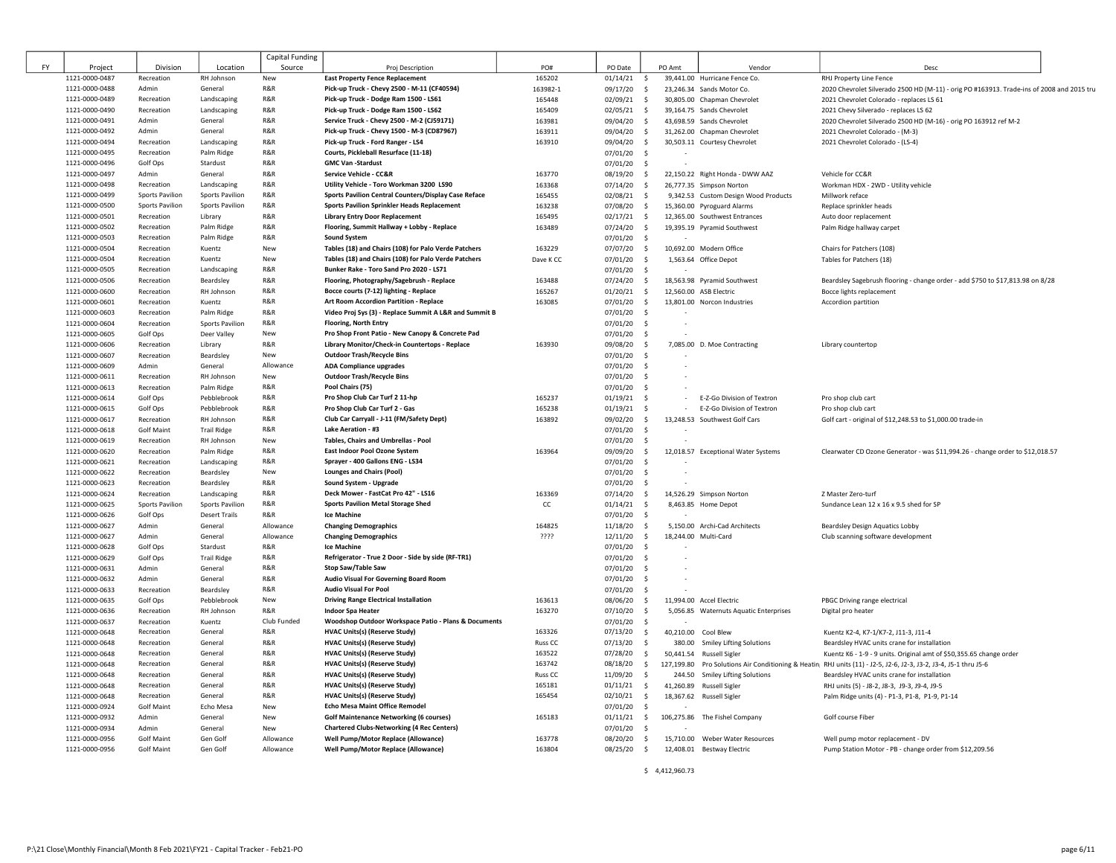|    |                                  |                                 |                        | Capital Funding                            |                                                                       |                    |                                     |        |                                                             |                                                                                                                  |  |
|----|----------------------------------|---------------------------------|------------------------|--------------------------------------------|-----------------------------------------------------------------------|--------------------|-------------------------------------|--------|-------------------------------------------------------------|------------------------------------------------------------------------------------------------------------------|--|
| FY | Project                          | Division                        | Location               | Source                                     | Proj Description                                                      | PO#                | PO Date                             | PO Amt | Vendor                                                      | Desc                                                                                                             |  |
|    | 1121-0000-0487                   | Recreation                      | RH Johnson             | New                                        | <b>East Property Fence Replacement</b>                                | 165202             | 01/14/21<br>- S                     |        | 39,441.00 Hurricane Fence Co.                               | RHJ Property Line Fence                                                                                          |  |
|    | 1121-0000-0488                   | Admin                           | General                | R&R                                        | Pick-up Truck - Chevy 2500 - M-11 (CF40594)                           | 163982-1           | 09/17/20<br>\$                      |        | 23,246.34 Sands Motor Co.                                   | 2020 Chevrolet Silverado 2500 HD (M-11) - orig PO #163913. Trade-ins of 2008 and 2015 tru                        |  |
|    | 1121-0000-0489                   | Recreation                      | Landscaping            | R&R                                        | Pick-up Truck - Dodge Ram 1500 - LS61                                 | 165448             | $02/09/21$ \$                       |        | 30.805.00 Chapman Chevrolet                                 | 2021 Chevrolet Colorado - replaces LS 61                                                                         |  |
|    | 1121-0000-0490                   | Recreation                      | Landscaping            | R&R                                        | Pick-up Truck - Dodge Ram 1500 - LS62                                 | 165409             | 02/05/21<br>S.                      |        | 39.164.75 Sands Chevrolet                                   | 2021 Chevy Silverado - replaces LS 62                                                                            |  |
|    | 1121-0000-0491                   | Admin                           | General                | R&R                                        | Service Truck - Chevy 2500 - M-2 (CJ59171)                            | 163981             | 09/04/20<br>s.                      |        | 43,698.59 Sands Chevrolet                                   | 2020 Chevrolet Silverado 2500 HD (M-16) - orig PO 163912 ref M-2                                                 |  |
|    | 1121-0000-0492                   | Admin                           | General                | R&R<br>R&R                                 | Pick-up Truck - Chevy 1500 - M-3 (CD87967)                            | 163911             | 09/04/20<br>$\sim$                  |        | 31,262.00 Chapman Chevrolet                                 | 2021 Chevrolet Colorado - (M-3)                                                                                  |  |
|    | 1121-0000-0494                   | Recreation                      | Landscaping            |                                            | Pick-up Truck - Ford Ranger - LS4                                     | 163910             | 09/04/20<br>- \$                    |        | 30,503.11 Courtesy Chevrolet                                | 2021 Chevrolet Colorado - (LS-4)                                                                                 |  |
|    | 1121-0000-0495                   | Recreation                      | Palm Ridge             | R&R<br>R&R                                 | Courts, Pickleball Resurface (11-18)<br><b>GMC Van -Stardust</b>      |                    | 07/01/20 \$                         |        |                                                             |                                                                                                                  |  |
|    | 1121-0000-0496                   | Golf Ops                        | Stardust               | R&R                                        |                                                                       |                    | 07/01/20<br>- S                     |        |                                                             |                                                                                                                  |  |
|    | 1121-0000-0497<br>1121-0000-0498 | Admin<br>Recreation             | General<br>Landscaping | R&R                                        | Service Vehicle - CC&R<br>Utility Vehicle - Toro Workman 3200 LS90    | 163770<br>163368   | 08/19/20 \$<br>07/14/20<br>$\sim$   |        | 22,150.22 Right Honda - DWW AAZ<br>26,777.35 Simpson Norton | Vehicle for CC&R<br>Workman HDX - 2WD - Utility vehicle                                                          |  |
|    | 1121-0000-0499                   | <b>Sports Pavilion</b>          | <b>Sports Pavilion</b> | R <sub>&amp;R</sub>                        | Sports Pavilion Central Counters/Display Case Reface                  | 165455             | 02/08/21 \$                         |        | 9,342.53 Custom Design Wood Products                        | Millwork reface                                                                                                  |  |
|    | 1121-0000-0500                   | Sports Pavilion                 | Sports Pavilion        | R&R                                        | <b>Sports Pavilion Sprinkler Heads Replacement</b>                    | 163238             | 07/08/20 \$                         |        | 15,360.00 Pyroguard Alarms                                  | Replace sprinkler heads                                                                                          |  |
|    | 1121-0000-0501                   | Recreation                      | Library                | R&R                                        | <b>Library Entry Door Replacement</b>                                 | 165495             | $02/17/21$ \$                       |        | 12,365.00 Southwest Entrances                               | Auto door replacement                                                                                            |  |
|    | 1121-0000-0502                   | Recreation                      | Palm Ridge             | R&R                                        | Flooring, Summit Hallway + Lobby - Replace                            | 163489             | 07/24/20<br>s.                      |        | 19,395.19 Pyramid Southwest                                 | Palm Ridge hallway carpet                                                                                        |  |
|    | 1121-0000-0503                   | Recreation                      | Palm Ridge             | R&R                                        | <b>Sound System</b>                                                   |                    | $07/01/20$ \$                       |        |                                                             |                                                                                                                  |  |
|    | 1121-0000-0504                   | Recreation                      | Kuentz                 | New                                        | Tables (18) and Chairs (108) for Palo Verde Patchers                  | 163229             | 07/07/20 \$                         |        | 10,692.00 Modern Office                                     | Chairs for Patchers (108)                                                                                        |  |
|    | 1121-0000-0504                   | Recreation                      | Kuentz                 | New                                        | Tables (18) and Chairs (108) for Palo Verde Patchers                  | Dave K CC          | 07/01/20 \$                         |        | 1,563.64 Office Depot                                       | Tables for Patchers (18)                                                                                         |  |
|    | 1121-0000-0505                   | Recreation                      | Landscaping            | R&R                                        | Bunker Rake - Toro Sand Pro 2020 - LS71                               |                    | 07/01/20 \$                         |        |                                                             |                                                                                                                  |  |
|    | 1121-0000-0506                   | Recreation                      | Beardsley              | R&R                                        | Flooring, Photography/Sagebrush - Replace                             | 163488             | $07/24/20$ \$                       |        | 18,563.98 Pyramid Southwest                                 | Beardsley Sagebrush flooring - change order - add \$750 to \$17,813.98 on 8/28                                   |  |
|    | 1121-0000-0600                   | Recreation                      | RH Johnson             | R&R                                        | Bocce courts (7-12) lighting - Replace                                | 165267             | $01/20/21$ \$                       |        | 12,560.00 ASB Electric                                      | Bocce lights replacement                                                                                         |  |
|    | 1121-0000-0601                   | Recreation                      | Kuentz                 | R&R                                        | Art Room Accordion Partition - Replace                                | 163085             | 07/01/20 \$                         |        | 13,801.00 Norcon Industries                                 | Accordion partition                                                                                              |  |
|    | 1121-0000-0603                   | Recreation                      | Palm Ridge             | R&R                                        | Video Proj Sys (3) - Replace Summit A L&R and Summit B                |                    | 07/01/20 \$                         |        |                                                             |                                                                                                                  |  |
|    | 1121-0000-0604                   | Recreation                      | Sports Pavilion        | R&R                                        | <b>Flooring, North Entry</b>                                          |                    | 07/01/20 \$                         |        |                                                             |                                                                                                                  |  |
|    | 1121-0000-0605                   | Golf Ops                        | Deer Valley            | New                                        | Pro Shop Front Patio - New Canopy & Concrete Pad                      |                    | $07/01/20$ \$                       |        |                                                             |                                                                                                                  |  |
|    | 1121-0000-0606                   | Recreation                      | Library                | R&R<br>New                                 | Library Monitor/Check-in Countertops - Replace                        | 163930             | 09/08/20<br>s.                      |        | 7,085.00 D. Moe Contracting                                 | Library countertop                                                                                               |  |
|    | 1121-0000-0607                   | Recreation                      | Beardsley              |                                            | <b>Outdoor Trash/Recycle Bins</b>                                     |                    | 07/01/20<br>- S                     |        |                                                             |                                                                                                                  |  |
|    | 1121-0000-0609                   | Admin<br>Recreation             | General<br>RH Johnson  | Allowance<br>New                           | <b>ADA Compliance upgrades</b><br><b>Outdoor Trash/Recycle Bins</b>   |                    | $07/01/20$ \$<br>07/01/20<br>- S    |        |                                                             |                                                                                                                  |  |
|    | 1121-0000-0611<br>1121-0000-0613 | Recreation                      | Palm Ridge             | R&R                                        | Pool Chairs (75)                                                      |                    | 07/01/20<br>- S                     |        |                                                             |                                                                                                                  |  |
|    | 1121-0000-0614                   | Golf Ops                        | Pebblebrook            | R&R                                        | Pro Shop Club Car Turf 2 11-hp                                        | 165237             | $01/19/21$ \$                       |        | E-Z-Go Division of Textron                                  | Pro shop club cart                                                                                               |  |
|    | 1121-0000-0615                   | Golf Ops                        | Pebblebrook            | R&R                                        | Pro Shop Club Car Turf 2 - Gas                                        | 165238             | $01/19/21$ \$                       |        | E-Z-Go Division of Textron                                  | Pro shop club cart                                                                                               |  |
|    | 1121-0000-0617                   | Recreation                      | RH Johnson             | R&R                                        | Club Car Carryall - J-11 (FM/Safety Dept)                             | 163892             | 09/02/20 \$                         |        | 13,248.53 Southwest Golf Cars                               | Golf cart - original of \$12,248.53 to \$1,000.00 trade-in                                                       |  |
|    | 1121-0000-0618                   | <b>Golf Maint</b>               | <b>Trail Ridge</b>     | R&R                                        | <b>Lake Aeration - #3</b>                                             |                    | 07/01/20 \$                         |        |                                                             |                                                                                                                  |  |
|    | 1121-0000-0619                   | Recreation                      | RH Johnson             | New                                        | Tables, Chairs and Umbrellas - Pool                                   |                    | 07/01/20 \$                         |        |                                                             |                                                                                                                  |  |
|    | 1121-0000-0620                   | Recreation                      | Palm Ridge             | R&R                                        | East Indoor Pool Ozone System                                         | 163964             | 09/09/20<br>s.                      |        | 12,018.57 Exceptional Water Systems                         | Clearwater CD Ozone Generator - was \$11,994.26 - change order to \$12,018.57                                    |  |
|    | 1121-0000-0621                   | Recreation                      | Landscaping            | R&R                                        | Sprayer - 400 Gallons ENG - LS34                                      |                    | 07/01/20<br>- S                     |        |                                                             |                                                                                                                  |  |
|    | 1121-0000-0622                   | Recreation                      | Beardsley              | New                                        | <b>Lounges and Chairs (Pool)</b>                                      |                    | 07/01/20 \$                         |        |                                                             |                                                                                                                  |  |
|    | 1121-0000-0623                   | Recreation                      | Beardsley              | R&R                                        | Sound System - Upgrade                                                |                    | 07/01/20<br>- S                     |        |                                                             |                                                                                                                  |  |
|    | 1121-0000-0624                   | Recreation                      | Landscaping            | R&R                                        | Deck Mower - FastCat Pro 42" - LS16                                   | 163369             | 07/14/20<br>S.                      |        | 14,526.29 Simpson Norton                                    | Z Master Zero-turf                                                                                               |  |
|    | 1121-0000-0625                   | Sports Pavilion                 | Sports Pavilion        | R&R                                        | <b>Sports Pavilion Metal Storage Shed</b>                             | cc                 | $01/14/21$ \$                       |        | 8,463.85 Home Depot                                         | Sundance Lean 12 x 16 x 9.5 shed for SP                                                                          |  |
|    | 1121-0000-0626                   | Golf Ops                        | <b>Desert Trails</b>   | R&R                                        | Ice Machine                                                           |                    | $07/01/20$ \$                       |        |                                                             |                                                                                                                  |  |
|    | 1121-0000-0627<br>1121-0000-0627 | Admin<br>Admin                  | General<br>General     | Allowance<br>Allowance                     | <b>Changing Demographics</b>                                          | 164825<br>????     | $11/18/20$ \$<br>12/11/20<br>$\sim$ |        | 5,150.00 Archi-Cad Architects<br>18,244.00 Multi-Card       | Beardsley Design Aquatics Lobby                                                                                  |  |
|    | 1121-0000-0628                   | Golf Ops                        | Stardust               | R&R                                        | <b>Changing Demographics</b><br><b>Ice Machine</b>                    |                    | 07/01/20<br>$\mathsf{S}$            |        |                                                             | Club scanning software development                                                                               |  |
|    | 1121-0000-0629                   | Golf Ops                        | <b>Trail Ridge</b>     | R&R                                        | Refrigerator - True 2 Door - Side by side (RF-TR1)                    |                    | 07/01/20 \$                         |        |                                                             |                                                                                                                  |  |
|    | 1121-0000-0631                   | Admin                           | General                | R&R                                        | <b>Stop Saw/Table Saw</b>                                             |                    | 07/01/20<br>- S                     |        |                                                             |                                                                                                                  |  |
|    | 1121-0000-0632                   | Admin                           | General                | R&R                                        | Audio Visual For Governing Board Room                                 |                    | 07/01/20<br>- S                     |        |                                                             |                                                                                                                  |  |
|    | 1121-0000-0633                   | Recreation                      | Beardsley              | R&R                                        | <b>Audio Visual For Pool</b>                                          |                    | 07/01/20<br>- \$                    |        |                                                             |                                                                                                                  |  |
|    | 1121-0000-0635                   | Golf Ops                        | Pebblebrook            | New                                        | <b>Driving Range Electrical Installation</b>                          | 163613             | 08/06/20<br>- \$                    |        | 11,994.00 Accel Electric                                    | PBGC Driving range electrical                                                                                    |  |
|    | 1121-0000-0636                   | Recreation                      | RH Johnson             | R&R                                        | <b>Indoor Spa Heater</b>                                              | 163270             | 07/10/20<br>$\sim$                  |        | 5,056.85 Waternuts Aquatic Enterprises                      | Digital pro heater                                                                                               |  |
|    | 1121-0000-0637                   | Recreation                      | Kuentz                 | Club Funded                                | Woodshop Outdoor Workspace Patio - Plans & Documents                  |                    | 07/01/20<br>- S                     |        |                                                             |                                                                                                                  |  |
|    | 1121-0000-0648                   | Recreation                      | General                | R <sub>&amp;R</sub>                        | <b>HVAC Units(s) (Reserve Study)</b>                                  | 163326             | 07/13/20<br>$\sim$                  |        | 40,210.00 Cool Blew                                         | Kuentz K2-4, K7-1/K7-2, J11-3, J11-4                                                                             |  |
|    | 1121-0000-0648                   | Recreation                      | General                | R&R                                        | <b>HVAC Units(s) (Reserve Study)</b>                                  | Russ <sub>CC</sub> | 07/13/20<br>$\sim$                  |        | 380.00 Smiley Lifting Solutions                             | Beardsley HVAC units crane for installation                                                                      |  |
|    | 1121-0000-0648                   | Recreation                      | General                | R <sub>&amp;R</sub>                        | <b>HVAC Units(s) (Reserve Study)</b>                                  | 163522             | 07/28/20<br>s.                      |        | 50,441.54 Russell Sigler                                    | Kuentz K6 - 1-9 - 9 units. Original amt of \$50,355.65 change order                                              |  |
|    | 1121-0000-0648                   | Recreation                      | General                | R&R                                        | <b>HVAC Units(s) (Reserve Study)</b>                                  | 163742             | 08/18/20<br>$\sim$                  |        |                                                             | 127,199.80 Pro Solutions Air Conditioning & Heatin RHJ units (11) - J2-5, J2-6, J2-3, J3-2, J3-4, J5-1 thru J5-6 |  |
|    | 1121-0000-0648                   | Recreation                      | General                | R <sub>&amp;R</sub><br>R <sub>&amp;R</sub> | <b>HVAC Units(s) (Reserve Study)</b>                                  | Russ <sub>CC</sub> | 11/09/20<br>- \$                    |        | 244.50 Smiley Lifting Solutions                             | Beardsley HVAC units crane for installation                                                                      |  |
|    | 1121-0000-0648                   | Recreation                      | General<br>General     | <b>R&amp;R</b>                             | <b>HVAC Units(s) (Reserve Study)</b><br>HVAC Units(s) (Reserve Study) | 165181<br>165454   | 01/11/21<br>$\sim$<br>02/10/21      |        | 41,260.89 Russell Sigler                                    | RHJ units (5) - J8-2, J8-3, J9-3, J9-4, J9-5                                                                     |  |
|    | 1121-0000-0648<br>1121-0000-0924 | Recreation<br><b>Golf Maint</b> | Echo Mesa              | New                                        | <b>Echo Mesa Maint Office Remodel</b>                                 |                    | $\sim$<br>07/01/20<br>-\$           |        | 18,367.62 Russell Sigler                                    | Palm Ridge units (4) - P1-3, P1-8, P1-9, P1-14                                                                   |  |
|    | 1121-0000-0932                   | Admin                           | General                | New                                        | <b>Golf Maintenance Networking (6 courses)</b>                        | 165183             | $01/11/21$ \$                       |        | 106,275.86 The Fishel Company                               | Golf course Fiber                                                                                                |  |
|    |                                  |                                 |                        |                                            | <b>Chartered Clubs-Networking (4 Rec Centers)</b>                     |                    | 07/01/20<br>- S                     |        |                                                             |                                                                                                                  |  |
|    |                                  | Admin                           |                        | New                                        |                                                                       |                    |                                     |        |                                                             |                                                                                                                  |  |
|    | 1121-0000-0934<br>1121-0000-0956 | <b>Golf Maint</b>               | General<br>Gen Golf    | Allowance                                  | Well Pump/Motor Replace (Allowance)                                   | 163778             | 08/20/20 \$                         |        | 15,710.00 Weber Water Resources                             | Well pump motor replacement - DV                                                                                 |  |

 $\Gamma$  $\overline{1}$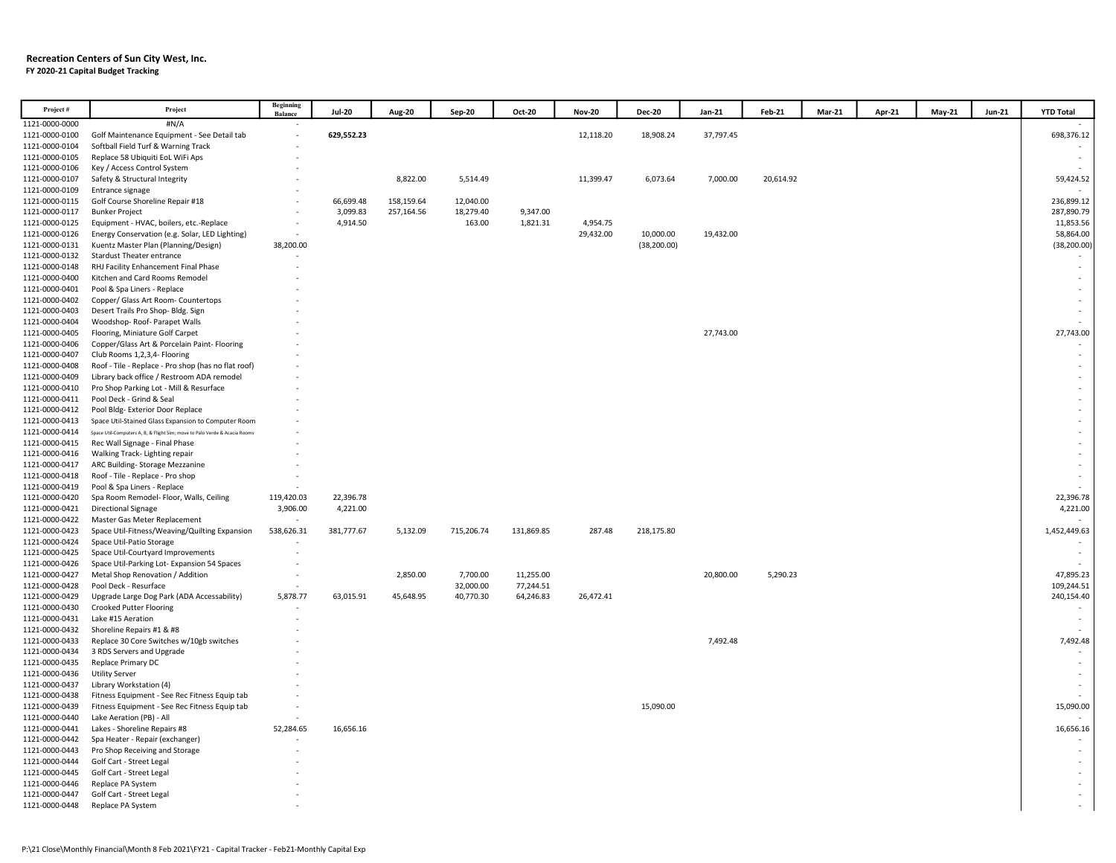#### Recreation Centers of Sun City West, Inc. FY 2020-21 Capital Budget Tracking

| Project#                         | Project                                                                                   | Beginning<br>Balance | <b>Jul-20</b>        | Aug-20     | <b>Sep-20</b> | Oct-20               | <b>Nov-20</b>         | <b>Dec-20</b> | Jan-21    | Feb-21    | Mar-21 | Apr-21 | May-21 | <b>Jun-21</b> | <b>YTD Total</b>        |
|----------------------------------|-------------------------------------------------------------------------------------------|----------------------|----------------------|------------|---------------|----------------------|-----------------------|---------------|-----------|-----------|--------|--------|--------|---------------|-------------------------|
| 1121-0000-0000                   | #N/A                                                                                      |                      |                      |            |               |                      |                       |               |           |           |        |        |        |               |                         |
| 1121-0000-0100                   | Golf Maintenance Equipment - See Detail tab                                               |                      | 629,552.23           |            |               |                      | 12,118.20             | 18,908.24     | 37,797.45 |           |        |        |        |               | 698,376.12              |
| 1121-0000-0104                   | Softball Field Turf & Warning Track                                                       |                      |                      |            |               |                      |                       |               |           |           |        |        |        |               |                         |
| 1121-0000-0105                   | Replace 58 Ubiquiti EoL WiFi Aps                                                          |                      |                      |            |               |                      |                       |               |           |           |        |        |        |               |                         |
| 1121-0000-0106                   | Key / Access Control System                                                               |                      |                      |            |               |                      |                       |               |           |           |        |        |        |               |                         |
| 1121-0000-0107                   | Safety & Structural Integrity                                                             |                      |                      | 8,822.00   | 5,514.49      |                      | 11,399.47             | 6,073.64      | 7,000.00  | 20,614.92 |        |        |        |               | 59,424.52               |
| 1121-0000-0109                   | Entrance signage                                                                          |                      |                      |            |               |                      |                       |               |           |           |        |        |        |               |                         |
| 1121-0000-0115                   | Golf Course Shoreline Repair #18                                                          |                      | 66,699.48            | 158,159.64 | 12,040.00     |                      |                       |               |           |           |        |        |        |               | 236,899.12              |
| 1121-0000-0117<br>1121-0000-0125 | <b>Bunker Project</b>                                                                     |                      | 3,099.83<br>4,914.50 | 257,164.56 | 18,279.40     | 9,347.00<br>1,821.31 |                       |               |           |           |        |        |        |               | 287,890.79<br>11,853.56 |
| 1121-0000-0126                   | Equipment - HVAC, boilers, etc.-Replace<br>Energy Conservation (e.g. Solar, LED Lighting) |                      |                      |            | 163.00        |                      | 4,954.75<br>29,432.00 | 10,000.00     | 19,432.00 |           |        |        |        |               | 58,864.00               |
| 1121-0000-0131                   | Kuentz Master Plan (Planning/Design)                                                      | 38,200.00            |                      |            |               |                      |                       | (38, 200.00)  |           |           |        |        |        |               | (38, 200.00)            |
| 1121-0000-0132                   | <b>Stardust Theater entrance</b>                                                          |                      |                      |            |               |                      |                       |               |           |           |        |        |        |               |                         |
| 1121-0000-0148                   | RHJ Facility Enhancement Final Phase                                                      |                      |                      |            |               |                      |                       |               |           |           |        |        |        |               | $\sim$                  |
| 1121-0000-0400                   | Kitchen and Card Rooms Remodel                                                            |                      |                      |            |               |                      |                       |               |           |           |        |        |        |               | $\sim$                  |
| 1121-0000-0401                   | Pool & Spa Liners - Replace                                                               |                      |                      |            |               |                      |                       |               |           |           |        |        |        |               |                         |
| 1121-0000-0402                   | Copper/ Glass Art Room- Countertops                                                       |                      |                      |            |               |                      |                       |               |           |           |        |        |        |               |                         |
| 1121-0000-0403                   | Desert Trails Pro Shop- Bldg. Sign                                                        |                      |                      |            |               |                      |                       |               |           |           |        |        |        |               |                         |
| 1121-0000-0404                   | Woodshop-Roof-Parapet Walls                                                               |                      |                      |            |               |                      |                       |               |           |           |        |        |        |               |                         |
| 1121-0000-0405                   | Flooring, Miniature Golf Carpet                                                           |                      |                      |            |               |                      |                       |               | 27,743.00 |           |        |        |        |               | 27,743.00               |
| 1121-0000-0406                   | Copper/Glass Art & Porcelain Paint- Flooring                                              |                      |                      |            |               |                      |                       |               |           |           |        |        |        |               |                         |
| 1121-0000-0407                   | Club Rooms 1,2,3,4- Flooring                                                              |                      |                      |            |               |                      |                       |               |           |           |        |        |        |               | $\sim$                  |
| 1121-0000-0408                   | Roof - Tile - Replace - Pro shop (has no flat roof)                                       |                      |                      |            |               |                      |                       |               |           |           |        |        |        |               |                         |
| 1121-0000-0409<br>1121-0000-0410 | Library back office / Restroom ADA remodel                                                |                      |                      |            |               |                      |                       |               |           |           |        |        |        |               |                         |
| 1121-0000-0411                   | Pro Shop Parking Lot - Mill & Resurface<br>Pool Deck - Grind & Seal                       |                      |                      |            |               |                      |                       |               |           |           |        |        |        |               |                         |
| 1121-0000-0412                   | Pool Bldg- Exterior Door Replace                                                          |                      |                      |            |               |                      |                       |               |           |           |        |        |        |               |                         |
| 1121-0000-0413                   | Space Util-Stained Glass Expansion to Computer Room                                       |                      |                      |            |               |                      |                       |               |           |           |        |        |        |               |                         |
| 1121-0000-0414                   | Space Util-Computers A, B, & Flight Sim; move to Palo Verde & Acacia Rooms                |                      |                      |            |               |                      |                       |               |           |           |        |        |        |               |                         |
| 1121-0000-0415                   | Rec Wall Signage - Final Phase                                                            |                      |                      |            |               |                      |                       |               |           |           |        |        |        |               |                         |
| 1121-0000-0416                   | Walking Track- Lighting repair                                                            |                      |                      |            |               |                      |                       |               |           |           |        |        |        |               | $\sim$                  |
| 1121-0000-0417                   | ARC Building-Storage Mezzanine                                                            |                      |                      |            |               |                      |                       |               |           |           |        |        |        |               |                         |
| 1121-0000-0418                   | Roof - Tile - Replace - Pro shop                                                          |                      |                      |            |               |                      |                       |               |           |           |        |        |        |               |                         |
| 1121-0000-0419                   | Pool & Spa Liners - Replace                                                               | 119,420.03           | 22,396.78            |            |               |                      |                       |               |           |           |        |        |        |               | 22,396.78               |
| 1121-0000-0420<br>1121-0000-0421 | Spa Room Remodel- Floor, Walls, Ceiling<br><b>Directional Signage</b>                     | 3,906.00             | 4,221.00             |            |               |                      |                       |               |           |           |        |        |        |               | 4,221.00                |
| 1121-0000-0422                   | Master Gas Meter Replacement                                                              |                      |                      |            |               |                      |                       |               |           |           |        |        |        |               |                         |
| 1121-0000-0423                   | Space Util-Fitness/Weaving/Quilting Expansion                                             | 538,626.31           | 381,777.67           | 5,132.09   | 715,206.74    | 131,869.85           | 287.48                | 218,175.80    |           |           |        |        |        |               | 1,452,449.63            |
| 1121-0000-0424                   | Space Util-Patio Storage                                                                  |                      |                      |            |               |                      |                       |               |           |           |        |        |        |               |                         |
| 1121-0000-0425                   | Space Util-Courtyard Improvements                                                         |                      |                      |            |               |                      |                       |               |           |           |        |        |        |               |                         |
| 1121-0000-0426                   | Space Util-Parking Lot-Expansion 54 Spaces                                                |                      |                      |            |               |                      |                       |               |           |           |        |        |        |               |                         |
| 1121-0000-0427                   | Metal Shop Renovation / Addition                                                          |                      |                      | 2,850.00   | 7,700.00      | 11,255.00            |                       |               | 20,800.00 | 5,290.23  |        |        |        |               | 47,895.23               |
| 1121-0000-0428                   | Pool Deck - Resurface                                                                     |                      |                      |            | 32,000.00     | 77,244.51            |                       |               |           |           |        |        |        |               | 109,244.51              |
| 1121-0000-0429                   | Upgrade Large Dog Park (ADA Accessability)                                                | 5,878.77             | 63,015.91            | 45,648.95  | 40,770.30     | 64,246.83            | 26,472.41             |               |           |           |        |        |        |               | 240,154.40              |
| 1121-0000-0430<br>1121-0000-0431 | <b>Crooked Putter Flooring</b><br>Lake #15 Aeration                                       |                      |                      |            |               |                      |                       |               |           |           |        |        |        |               |                         |
| 1121-0000-0432                   | Shoreline Repairs #1 & #8                                                                 |                      |                      |            |               |                      |                       |               |           |           |        |        |        |               |                         |
| 1121-0000-0433                   | Replace 30 Core Switches w/10gb switches                                                  |                      |                      |            |               |                      |                       |               | 7,492.48  |           |        |        |        |               | 7,492.48                |
| 1121-0000-0434                   | 3 RDS Servers and Upgrade                                                                 |                      |                      |            |               |                      |                       |               |           |           |        |        |        |               |                         |
| 1121-0000-0435                   | Replace Primary DC                                                                        |                      |                      |            |               |                      |                       |               |           |           |        |        |        |               | $\sim$                  |
| 1121-0000-0436                   | <b>Utility Server</b>                                                                     |                      |                      |            |               |                      |                       |               |           |           |        |        |        |               |                         |
| 1121-0000-0437                   | Library Workstation (4)                                                                   |                      |                      |            |               |                      |                       |               |           |           |        |        |        |               |                         |
| 1121-0000-0438                   | Fitness Equipment - See Rec Fitness Equip tab                                             |                      |                      |            |               |                      |                       |               |           |           |        |        |        |               |                         |
| 1121-0000-0439                   | Fitness Equipment - See Rec Fitness Equip tab                                             |                      |                      |            |               |                      |                       | 15,090.00     |           |           |        |        |        |               | 15,090.00               |
| 1121-0000-0440                   | Lake Aeration (PB) - All                                                                  |                      |                      |            |               |                      |                       |               |           |           |        |        |        |               |                         |
| 1121-0000-0441                   | Lakes - Shoreline Repairs #8                                                              | 52,284.65            | 16,656.16            |            |               |                      |                       |               |           |           |        |        |        |               | 16,656.16               |
| 1121-0000-0442                   | Spa Heater - Repair (exchanger)                                                           |                      |                      |            |               |                      |                       |               |           |           |        |        |        |               |                         |
| 1121-0000-0443<br>1121-0000-0444 | Pro Shop Receiving and Storage<br>Golf Cart - Street Legal                                |                      |                      |            |               |                      |                       |               |           |           |        |        |        |               | $\sim$                  |
| 1121-0000-0445                   | Golf Cart - Street Legal                                                                  |                      |                      |            |               |                      |                       |               |           |           |        |        |        |               |                         |
| 1121-0000-0446                   | Replace PA System                                                                         |                      |                      |            |               |                      |                       |               |           |           |        |        |        |               |                         |
| 1121-0000-0447                   | Golf Cart - Street Legal                                                                  |                      |                      |            |               |                      |                       |               |           |           |        |        |        |               |                         |
| 1121-0000-0448                   | Replace PA System                                                                         |                      |                      |            |               |                      |                       |               |           |           |        |        |        |               |                         |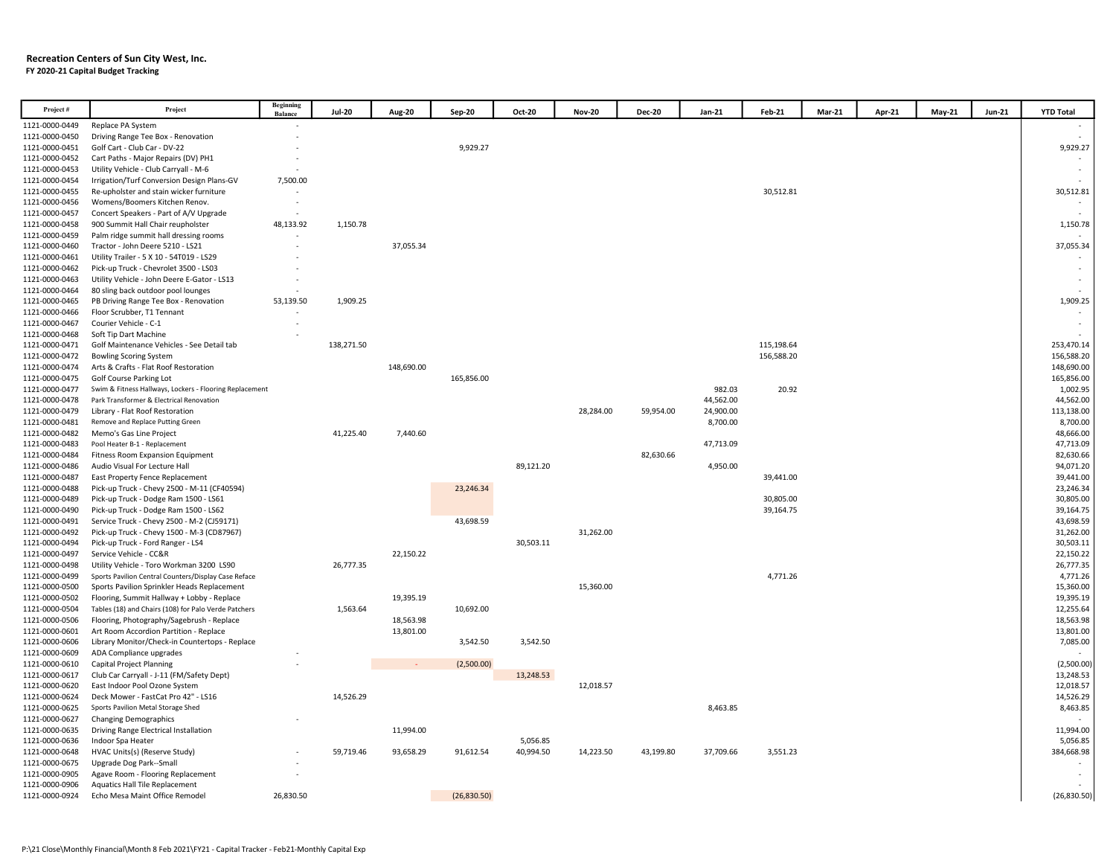#### Recreation Centers of Sun City West, Inc. FY 2020-21 Capital Budget Tracking

| Project#       | Project                                                 | Beginning<br><b>Balance</b> | <b>Jul-20</b> | <b>Aug-20</b> | Sep-20      | Oct-20    | <b>Nov-20</b> | <b>Dec-20</b> | Jan-21    | Feb-21     | Mar-21 | Apr-21 | <b>May-21</b> | <b>Jun-21</b> | <b>YTD Total</b> |
|----------------|---------------------------------------------------------|-----------------------------|---------------|---------------|-------------|-----------|---------------|---------------|-----------|------------|--------|--------|---------------|---------------|------------------|
| 1121-0000-0449 | Replace PA System                                       |                             |               |               |             |           |               |               |           |            |        |        |               |               |                  |
| 1121-0000-0450 | Driving Range Tee Box - Renovation                      |                             |               |               |             |           |               |               |           |            |        |        |               |               |                  |
| 1121-0000-0451 | Golf Cart - Club Car - DV-22                            |                             |               |               | 9,929.27    |           |               |               |           |            |        |        |               |               | 9,929.27         |
| 1121-0000-0452 | Cart Paths - Major Repairs (DV) PH1                     |                             |               |               |             |           |               |               |           |            |        |        |               |               |                  |
| 1121-0000-0453 | Utility Vehicle - Club Carryall - M-6                   |                             |               |               |             |           |               |               |           |            |        |        |               |               |                  |
| 1121-0000-0454 | Irrigation/Turf Conversion Design Plans-GV              | 7,500.00                    |               |               |             |           |               |               |           |            |        |        |               |               |                  |
| 1121-0000-0455 | Re-upholster and stain wicker furniture                 |                             |               |               |             |           |               |               |           | 30,512.81  |        |        |               |               | 30,512.81        |
| 1121-0000-0456 | Womens/Boomers Kitchen Renov.                           |                             |               |               |             |           |               |               |           |            |        |        |               |               |                  |
| 1121-0000-0457 | Concert Speakers - Part of A/V Upgrade                  |                             |               |               |             |           |               |               |           |            |        |        |               |               |                  |
| 1121-0000-0458 | 900 Summit Hall Chair reupholster                       | 48,133.92                   | 1,150.78      |               |             |           |               |               |           |            |        |        |               |               | 1,150.78         |
| 1121-0000-0459 | Palm ridge summit hall dressing rooms                   |                             |               |               |             |           |               |               |           |            |        |        |               |               |                  |
| 1121-0000-0460 | Tractor - John Deere 5210 - LS21                        |                             |               | 37,055.34     |             |           |               |               |           |            |        |        |               |               | 37,055.34        |
| 1121-0000-0461 | Utility Trailer - 5 X 10 - 54T019 - LS29                |                             |               |               |             |           |               |               |           |            |        |        |               |               |                  |
| 1121-0000-0462 | Pick-up Truck - Chevrolet 3500 - LS03                   |                             |               |               |             |           |               |               |           |            |        |        |               |               |                  |
| 1121-0000-0463 | Utility Vehicle - John Deere E-Gator - LS13             |                             |               |               |             |           |               |               |           |            |        |        |               |               |                  |
| 1121-0000-0464 | 80 sling back outdoor pool lounges                      |                             |               |               |             |           |               |               |           |            |        |        |               |               |                  |
| 1121-0000-0465 | PB Driving Range Tee Box - Renovation                   | 53,139.50                   | 1,909.25      |               |             |           |               |               |           |            |        |        |               |               | 1,909.25         |
| 1121-0000-0466 | Floor Scrubber, T1 Tennant                              |                             |               |               |             |           |               |               |           |            |        |        |               |               |                  |
| 1121-0000-0467 | Courier Vehicle - C-1                                   |                             |               |               |             |           |               |               |           |            |        |        |               |               |                  |
| 1121-0000-0468 | Soft Tip Dart Machine                                   |                             |               |               |             |           |               |               |           |            |        |        |               |               |                  |
| 1121-0000-0471 | Golf Maintenance Vehicles - See Detail tab              |                             | 138,271.50    |               |             |           |               |               |           | 115,198.64 |        |        |               |               | 253,470.14       |
| 1121-0000-0472 | <b>Bowling Scoring System</b>                           |                             |               |               |             |           |               |               |           | 156,588.20 |        |        |               |               | 156,588.20       |
| 1121-0000-0474 | Arts & Crafts - Flat Roof Restoration                   |                             |               | 148,690.00    |             |           |               |               |           |            |        |        |               |               | 148,690.00       |
| 1121-0000-0475 | <b>Golf Course Parking Lot</b>                          |                             |               |               | 165,856.00  |           |               |               |           |            |        |        |               |               | 165,856.00       |
| 1121-0000-0477 | Swim & Fitness Hallways, Lockers - Flooring Replacement |                             |               |               |             |           |               |               | 982.03    | 20.92      |        |        |               |               | 1,002.95         |
| 1121-0000-0478 | Park Transformer & Electrical Renovation                |                             |               |               |             |           |               |               | 44,562.00 |            |        |        |               |               | 44,562.00        |
| 1121-0000-0479 | Library - Flat Roof Restoration                         |                             |               |               |             |           | 28,284.00     | 59,954.00     | 24,900.00 |            |        |        |               |               | 113,138.00       |
| 1121-0000-0481 | Remove and Replace Putting Green                        |                             |               |               |             |           |               |               | 8,700.00  |            |        |        |               |               | 8,700.00         |
| 1121-0000-0482 | Memo's Gas Line Project                                 |                             | 41,225.40     | 7,440.60      |             |           |               |               |           |            |        |        |               |               | 48,666.00        |
| 1121-0000-0483 | Pool Heater B-1 - Replacement                           |                             |               |               |             |           |               |               | 47,713.09 |            |        |        |               |               | 47,713.09        |
| 1121-0000-0484 | Fitness Room Expansion Equipment                        |                             |               |               |             |           |               | 82,630.66     |           |            |        |        |               |               | 82,630.66        |
| 1121-0000-0486 | Audio Visual For Lecture Hall                           |                             |               |               |             | 89,121.20 |               |               | 4,950.00  |            |        |        |               |               | 94,071.20        |
| 1121-0000-0487 | East Property Fence Replacement                         |                             |               |               |             |           |               |               |           | 39,441.00  |        |        |               |               | 39,441.00        |
| 1121-0000-0488 | Pick-up Truck - Chevy 2500 - M-11 (CF40594)             |                             |               |               | 23,246.34   |           |               |               |           |            |        |        |               |               | 23,246.34        |
| 1121-0000-0489 | Pick-up Truck - Dodge Ram 1500 - LS61                   |                             |               |               |             |           |               |               |           | 30,805.00  |        |        |               |               | 30,805.00        |
| 1121-0000-0490 | Pick-up Truck - Dodge Ram 1500 - LS62                   |                             |               |               |             |           |               |               |           | 39,164.75  |        |        |               |               | 39,164.75        |
| 1121-0000-0491 | Service Truck - Chevy 2500 - M-2 (CJ59171)              |                             |               |               | 43,698.59   |           |               |               |           |            |        |        |               |               | 43,698.59        |
| 1121-0000-0492 | Pick-up Truck - Chevy 1500 - M-3 (CD87967)              |                             |               |               |             |           | 31,262.00     |               |           |            |        |        |               |               | 31,262.00        |
| 1121-0000-0494 | Pick-up Truck - Ford Ranger - LS4                       |                             |               |               |             | 30,503.11 |               |               |           |            |        |        |               |               | 30,503.11        |
| 1121-0000-0497 | Service Vehicle - CC&R                                  |                             |               | 22,150.22     |             |           |               |               |           |            |        |        |               |               | 22,150.22        |
| 1121-0000-0498 | Utility Vehicle - Toro Workman 3200 LS90                |                             | 26,777.35     |               |             |           |               |               |           |            |        |        |               |               | 26,777.35        |
| 1121-0000-0499 | Sports Pavilion Central Counters/Display Case Reface    |                             |               |               |             |           |               |               |           | 4,771.26   |        |        |               |               | 4,771.26         |
| 1121-0000-0500 | Sports Pavilion Sprinkler Heads Replacement             |                             |               |               |             |           | 15,360.00     |               |           |            |        |        |               |               | 15,360.00        |
| 1121-0000-0502 | Flooring, Summit Hallway + Lobby - Replace              |                             |               | 19,395.19     |             |           |               |               |           |            |        |        |               |               | 19,395.19        |
| 1121-0000-0504 | Tables (18) and Chairs (108) for Palo Verde Patchers    |                             | 1,563.64      |               | 10,692.00   |           |               |               |           |            |        |        |               |               | 12,255.64        |
| 1121-0000-0506 | Flooring, Photography/Sagebrush - Replace               |                             |               | 18,563.98     |             |           |               |               |           |            |        |        |               |               | 18,563.98        |
| 1121-0000-0601 | Art Room Accordion Partition - Replace                  |                             |               | 13,801.00     |             |           |               |               |           |            |        |        |               |               | 13,801.00        |
| 1121-0000-0606 | Library Monitor/Check-in Countertops - Replace          |                             |               |               | 3,542.50    | 3,542.50  |               |               |           |            |        |        |               |               | 7,085.00         |
| 1121-0000-0609 | ADA Compliance upgrades                                 |                             |               |               |             |           |               |               |           |            |        |        |               |               |                  |
| 1121-0000-0610 | Capital Project Planning                                |                             |               |               | (2,500.00)  |           |               |               |           |            |        |        |               |               | (2,500.00)       |
| 1121-0000-0617 | Club Car Carryall - J-11 (FM/Safety Dept)               |                             |               |               |             | 13,248.53 |               |               |           |            |        |        |               |               | 13,248.53        |
| 1121-0000-0620 | East Indoor Pool Ozone System                           |                             |               |               |             |           | 12,018.57     |               |           |            |        |        |               |               | 12,018.57        |
| 1121-0000-0624 | Deck Mower - FastCat Pro 42" - LS16                     |                             | 14,526.29     |               |             |           |               |               |           |            |        |        |               |               | 14,526.29        |
| 1121-0000-0625 | Sports Pavilion Metal Storage Shed                      |                             |               |               |             |           |               |               | 8,463.85  |            |        |        |               |               | 8,463.85         |
| 1121-0000-0627 | <b>Changing Demographics</b>                            |                             |               |               |             |           |               |               |           |            |        |        |               |               |                  |
| 1121-0000-0635 | Driving Range Electrical Installation                   |                             |               | 11,994.00     |             |           |               |               |           |            |        |        |               |               | 11,994.00        |
| 1121-0000-0636 | Indoor Spa Heater                                       |                             |               |               |             | 5,056.85  |               |               |           |            |        |        |               |               | 5,056.85         |
| 1121-0000-0648 | HVAC Units(s) (Reserve Study)                           |                             | 59.719.46     | 93,658.29     | 91,612.54   | 40,994.50 | 14,223.50     | 43,199.80     | 37,709.66 | 3,551.23   |        |        |               |               | 384,668.98       |
| 1121-0000-0675 | Upgrade Dog Park--Small                                 |                             |               |               |             |           |               |               |           |            |        |        |               |               |                  |
| 1121-0000-0905 | Agave Room - Flooring Replacement                       |                             |               |               |             |           |               |               |           |            |        |        |               |               |                  |
| 1121-0000-0906 | <b>Aquatics Hall Tile Replacement</b>                   |                             |               |               |             |           |               |               |           |            |        |        |               |               |                  |
| 1121-0000-0924 | Echo Mesa Maint Office Remodel                          | 26,830.50                   |               |               | (26,830.50) |           |               |               |           |            |        |        |               |               | (26, 830.50)     |
|                |                                                         |                             |               |               |             |           |               |               |           |            |        |        |               |               |                  |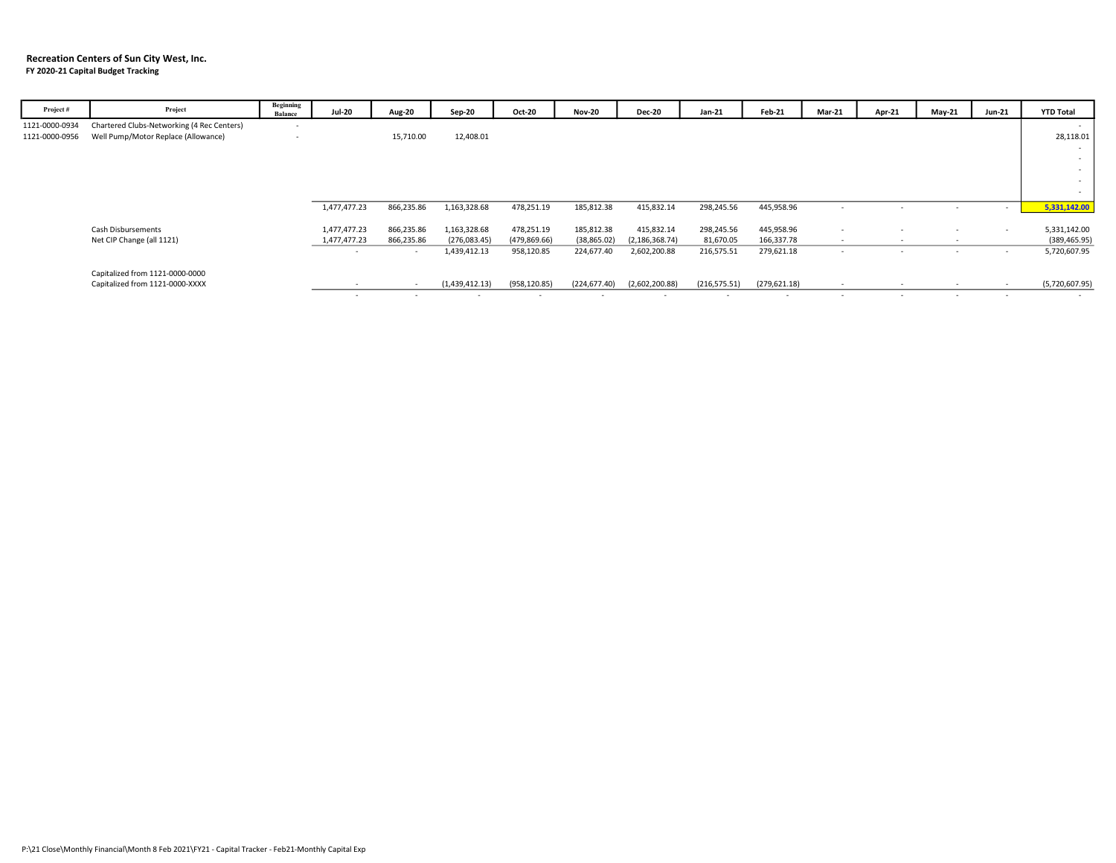#### Recreation Centers of Sun City West, Inc. FY 2020-21 Capital Budget Tracking

| Project#       | Project                                    | Beginning<br><b>Balance</b> | <b>Jul-20</b> | <b>Aug-20</b>            | Sep-20         | Oct-20        | <b>Nov-20</b>  | <b>Dec-20</b>    | Jan-21        | Feb-21                   | <b>Mar-21</b> | Apr-21 | May-21 | Jun-21 | <b>YTD Total</b> |
|----------------|--------------------------------------------|-----------------------------|---------------|--------------------------|----------------|---------------|----------------|------------------|---------------|--------------------------|---------------|--------|--------|--------|------------------|
| 1121-0000-0934 | Chartered Clubs-Networking (4 Rec Centers) | $\overline{\phantom{a}}$    |               |                          |                |               |                |                  |               |                          |               |        |        |        | $\sim$           |
| 1121-0000-0956 | Well Pump/Motor Replace (Allowance)        | $\overline{\phantom{a}}$    |               | 15,710.00                | 12,408.01      |               |                |                  |               |                          |               |        |        |        | 28,118.01        |
|                |                                            |                             |               |                          |                |               |                |                  |               |                          |               |        |        |        |                  |
|                |                                            |                             |               |                          |                |               |                |                  |               |                          |               |        |        |        |                  |
|                |                                            |                             |               |                          |                |               |                |                  |               |                          |               |        |        |        | $\sim$           |
|                |                                            |                             |               |                          |                |               |                |                  |               |                          |               |        |        |        |                  |
|                |                                            |                             |               |                          |                |               |                |                  |               |                          |               |        |        |        |                  |
|                |                                            |                             | 1,477,477.23  | 866,235.86               | 1,163,328.68   | 478,251.19    | 185,812.38     | 415,832.14       | 298,245.56    | 445,958.96               |               |        |        | $\sim$ | 5,331,142.00     |
|                |                                            |                             |               |                          |                |               |                |                  |               |                          |               |        |        |        |                  |
|                | Cash Disbursements                         |                             | 1,477,477.23  | 866,235.86               | 1,163,328.68   | 478,251.19    | 185,812.38     | 415,832.14       | 298,245.56    | 445,958.96               |               |        |        | $\sim$ | 5,331,142.00     |
|                | Net CIP Change (all 1121)                  |                             | 1,477,477.23  | 866,235.86               | (276,083.45)   | (479, 869.66) | (38, 865.02)   | (2, 186, 368.74) | 81,670.05     | 166,337.78               | $\sim$        | $\sim$ |        |        | (389, 465.95)    |
|                |                                            |                             |               | $\overline{\phantom{a}}$ | 1,439,412.13   | 958,120.85    | 224,677.40     | 2,602,200.88     | 216,575.51    | 279,621.18               | $\sim$        | $\sim$ | $\sim$ |        | 5,720,607.95     |
|                | Capitalized from 1121-0000-0000            |                             |               |                          |                |               |                |                  |               |                          |               |        |        |        |                  |
|                | Capitalized from 1121-0000-XXXX            |                             |               | $\overline{\phantom{a}}$ | (1,439,412.13) | (958, 120.85) | (224, 677, 40) | (2,602,200.88)   | (216, 575.51) | (279, 621.18)            |               |        |        |        | (5,720,607.95)   |
|                |                                            |                             |               | $\sim$                   |                | . .           | $\sim$         |                  |               | $\overline{\phantom{a}}$ |               | $\sim$ |        |        |                  |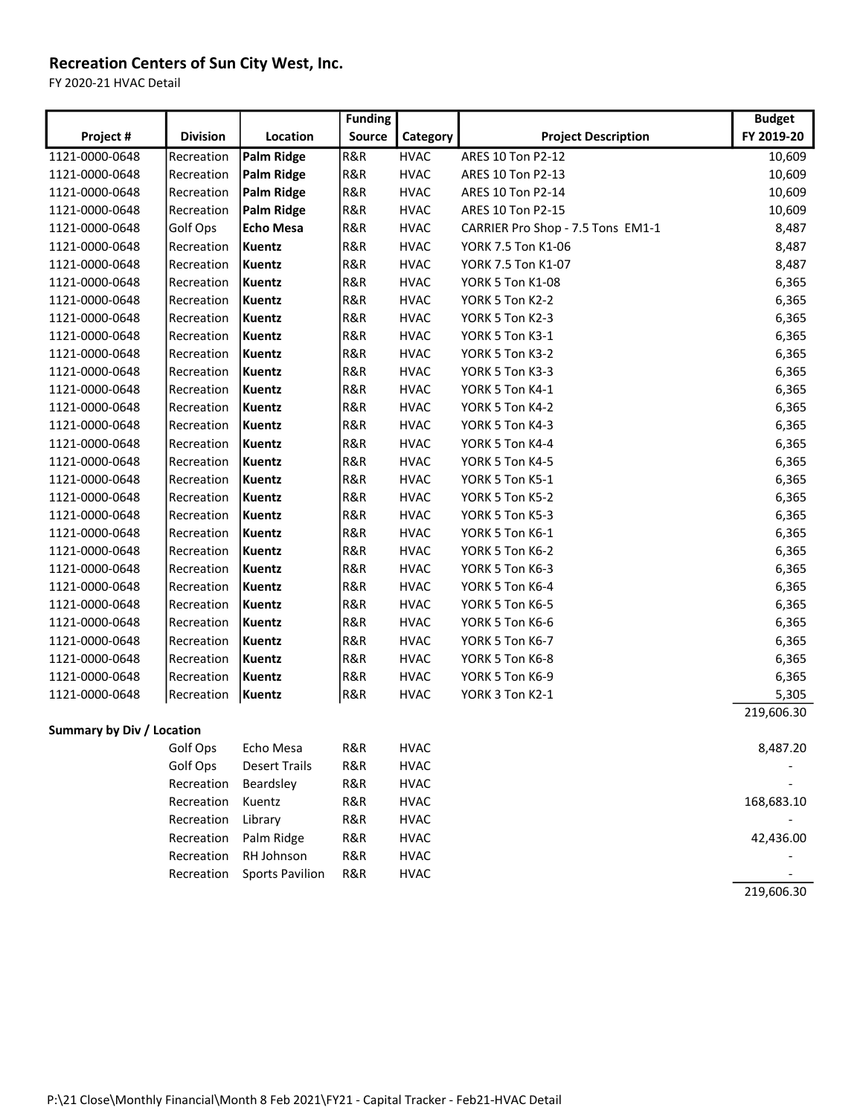# Recreation Centers of Sun City West, Inc.

FY 2020-21 HVAC Detail

|                                  |                 |                        | <b>Funding</b> |             |                                   | <b>Budget</b> |
|----------------------------------|-----------------|------------------------|----------------|-------------|-----------------------------------|---------------|
| Project #                        | <b>Division</b> | Location               | Source         | Category    | <b>Project Description</b>        | FY 2019-20    |
| 1121-0000-0648                   | Recreation      | Palm Ridge             | R&R            | <b>HVAC</b> | ARES 10 Ton P2-12                 | 10,609        |
| 1121-0000-0648                   | Recreation      | Palm Ridge             | R&R            | <b>HVAC</b> | ARES 10 Ton P2-13                 | 10,609        |
| 1121-0000-0648                   | Recreation      | Palm Ridge             | R&R            | <b>HVAC</b> | ARES 10 Ton P2-14                 | 10,609        |
| 1121-0000-0648                   | Recreation      | Palm Ridge             | R&R            | <b>HVAC</b> | ARES 10 Ton P2-15                 | 10,609        |
| 1121-0000-0648                   | Golf Ops        | <b>Echo Mesa</b>       | R&R            | <b>HVAC</b> | CARRIER Pro Shop - 7.5 Tons EM1-1 | 8,487         |
| 1121-0000-0648                   | Recreation      | Kuentz                 | R&R            | <b>HVAC</b> | YORK 7.5 Ton K1-06                | 8,487         |
| 1121-0000-0648                   | Recreation      | Kuentz                 | R&R            | <b>HVAC</b> | YORK 7.5 Ton K1-07                | 8,487         |
| 1121-0000-0648                   | Recreation      | Kuentz                 | R&R            | <b>HVAC</b> | YORK 5 Ton K1-08                  | 6,365         |
| 1121-0000-0648                   | Recreation      | Kuentz                 | R&R            | <b>HVAC</b> | YORK 5 Ton K2-2                   | 6,365         |
| 1121-0000-0648                   | Recreation      | Kuentz                 | R&R            | <b>HVAC</b> | YORK 5 Ton K2-3                   | 6,365         |
| 1121-0000-0648                   | Recreation      | Kuentz                 | R&R            | <b>HVAC</b> | YORK 5 Ton K3-1                   | 6,365         |
| 1121-0000-0648                   | Recreation      | Kuentz                 | R&R            | <b>HVAC</b> | YORK 5 Ton K3-2                   | 6,365         |
| 1121-0000-0648                   | Recreation      | Kuentz                 | R&R            | <b>HVAC</b> | YORK 5 Ton K3-3                   | 6,365         |
| 1121-0000-0648                   | Recreation      | Kuentz                 | R&R            | <b>HVAC</b> | YORK 5 Ton K4-1                   | 6,365         |
| 1121-0000-0648                   | Recreation      | Kuentz                 | R&R            | <b>HVAC</b> | YORK 5 Ton K4-2                   | 6,365         |
| 1121-0000-0648                   | Recreation      | Kuentz                 | R&R            | <b>HVAC</b> | YORK 5 Ton K4-3                   | 6,365         |
| 1121-0000-0648                   | Recreation      | Kuentz                 | R&R            | <b>HVAC</b> | YORK 5 Ton K4-4                   | 6,365         |
| 1121-0000-0648                   | Recreation      | Kuentz                 | R&R            | <b>HVAC</b> | YORK 5 Ton K4-5                   | 6,365         |
| 1121-0000-0648                   | Recreation      | Kuentz                 | R&R            | <b>HVAC</b> | YORK 5 Ton K5-1                   | 6,365         |
| 1121-0000-0648                   | Recreation      | Kuentz                 | R&R            | <b>HVAC</b> | YORK 5 Ton K5-2                   | 6,365         |
| 1121-0000-0648                   | Recreation      | Kuentz                 | R&R            | <b>HVAC</b> | YORK 5 Ton K5-3                   | 6,365         |
| 1121-0000-0648                   | Recreation      | Kuentz                 | R&R            | <b>HVAC</b> | YORK 5 Ton K6-1                   | 6,365         |
| 1121-0000-0648                   | Recreation      | Kuentz                 | R&R            | <b>HVAC</b> | YORK 5 Ton K6-2                   | 6,365         |
| 1121-0000-0648                   | Recreation      | Kuentz                 | R&R            | <b>HVAC</b> | YORK 5 Ton K6-3                   | 6,365         |
| 1121-0000-0648                   | Recreation      | Kuentz                 | R&R            | <b>HVAC</b> | YORK 5 Ton K6-4                   | 6,365         |
| 1121-0000-0648                   | Recreation      | Kuentz                 | R&R            | <b>HVAC</b> | YORK 5 Ton K6-5                   | 6,365         |
| 1121-0000-0648                   | Recreation      | Kuentz                 | R&R            | <b>HVAC</b> | YORK 5 Ton K6-6                   | 6,365         |
| 1121-0000-0648                   | Recreation      | Kuentz                 | R&R            | <b>HVAC</b> | YORK 5 Ton K6-7                   | 6,365         |
| 1121-0000-0648                   | Recreation      | Kuentz                 | R&R            | <b>HVAC</b> | YORK 5 Ton K6-8                   | 6,365         |
| 1121-0000-0648                   | Recreation      | Kuentz                 | R&R            | <b>HVAC</b> | YORK 5 Ton K6-9                   | 6,365         |
| 1121-0000-0648                   | Recreation      | Kuentz                 | R&R            | <b>HVAC</b> | YORK 3 Ton K2-1                   | 5,305         |
|                                  |                 |                        |                |             |                                   | 219,606.30    |
| <b>Summary by Div / Location</b> |                 |                        |                |             |                                   |               |
|                                  | Golf Ops        | Echo Mesa              | R&R            | <b>HVAC</b> |                                   | 8,487.20      |
|                                  | Golf Ops        | <b>Desert Trails</b>   | R&R            | <b>HVAC</b> |                                   |               |
|                                  | Recreation      | Beardsley              | R&R            | <b>HVAC</b> |                                   |               |
|                                  | Recreation      | Kuentz                 | R&R            | <b>HVAC</b> |                                   | 168,683.10    |
|                                  | Recreation      | Library                | R&R            | <b>HVAC</b> |                                   |               |
|                                  | Recreation      | Palm Ridge             | R&R            | <b>HVAC</b> |                                   | 42,436.00     |
|                                  | Recreation      | RH Johnson             | R&R            | <b>HVAC</b> |                                   |               |
|                                  | Recreation      | <b>Sports Pavilion</b> | R&R            | <b>HVAC</b> |                                   |               |
|                                  |                 |                        |                |             |                                   | 219,606.30    |